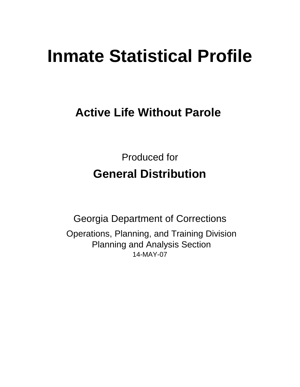# **Inmate Statistical Profile**

## **Active Life Without Parole**

Produced for **General Distribution**

14-MAY-07 Georgia Department of Corrections Operations, Planning, and Training Division Planning and Analysis Section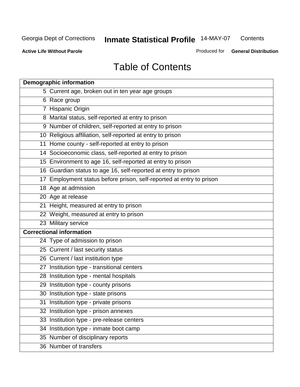**Contents** 

**Active Life Without Parole** 

Produced for **General Distribution**

## Table of Contents

| <b>Demographic information</b>                                       |
|----------------------------------------------------------------------|
| 5 Current age, broken out in ten year age groups                     |
| 6 Race group                                                         |
| 7 Hispanic Origin                                                    |
| 8 Marital status, self-reported at entry to prison                   |
| 9 Number of children, self-reported at entry to prison               |
| 10 Religious affiliation, self-reported at entry to prison           |
| 11 Home county - self-reported at entry to prison                    |
| 14 Socioeconomic class, self-reported at entry to prison             |
| 15 Environment to age 16, self-reported at entry to prison           |
| 16 Guardian status to age 16, self-reported at entry to prison       |
| 17 Employment status before prison, self-reported at entry to prison |
| 18 Age at admission                                                  |
| 20 Age at release                                                    |
| 21 Height, measured at entry to prison                               |
| 22 Weight, measured at entry to prison                               |
| 23 Military service                                                  |
| <b>Correctional information</b>                                      |
| 24 Type of admission to prison                                       |
| 25 Current / last security status                                    |
| 26 Current / last institution type                                   |
| 27 Institution type - transitional centers                           |
| 28 Institution type - mental hospitals                               |
| 29 Institution type - county prisons                                 |
| 30 Institution type - state prisons                                  |
| 31 Institution type - private prisons                                |
| 32 Institution type - prison annexes                                 |
| 33 Institution type - pre-release centers                            |
| 34 Institution type - inmate boot camp                               |
| 35 Number of disciplinary reports                                    |
| 36 Number of transfers                                               |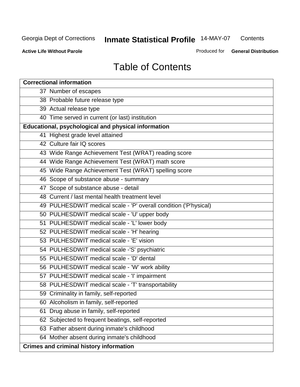**Contents** 

**Active Life Without Parole** 

Produced for **General Distribution**

## Table of Contents

| <b>Correctional information</b>                                  |
|------------------------------------------------------------------|
| 37 Number of escapes                                             |
| 38 Probable future release type                                  |
| 39 Actual release type                                           |
| 40 Time served in current (or last) institution                  |
| Educational, psychological and physical information              |
| 41 Highest grade level attained                                  |
| 42 Culture fair IQ scores                                        |
| 43 Wide Range Achievement Test (WRAT) reading score              |
| 44 Wide Range Achievement Test (WRAT) math score                 |
| 45 Wide Range Achievement Test (WRAT) spelling score             |
| 46 Scope of substance abuse - summary                            |
| 47 Scope of substance abuse - detail                             |
| 48 Current / last mental health treatment level                  |
| 49 PULHESDWIT medical scale - 'P' overall condition ('P'hysical) |
| 50 PULHESDWIT medical scale - 'U' upper body                     |
| 51 PULHESDWIT medical scale - 'L' lower body                     |
| 52 PULHESDWIT medical scale - 'H' hearing                        |
| 53 PULHESDWIT medical scale - 'E' vision                         |
| 54 PULHESDWIT medical scale -'S' psychiatric                     |
| 55 PULHESDWIT medical scale - 'D' dental                         |
| 56 PULHESDWIT medical scale - 'W' work ability                   |
| 57 PULHESDWIT medical scale - 'I' impairment                     |
| 58 PULHESDWIT medical scale - 'T' transportability               |
| 59 Criminality in family, self-reported                          |
| 60 Alcoholism in family, self-reported                           |
| Drug abuse in family, self-reported<br>61                        |
| 62 Subjected to frequent beatings, self-reported                 |
| 63 Father absent during inmate's childhood                       |
| 64 Mother absent during inmate's childhood                       |
| <b>Crimes and criminal history information</b>                   |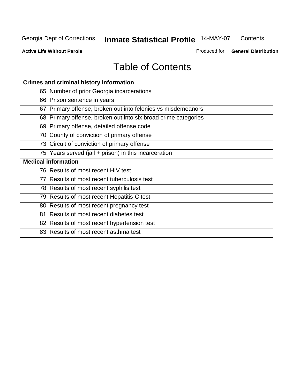**Contents** 

**Active Life Without Parole** 

Produced for **General Distribution**

## Table of Contents

| <b>Crimes and criminal history information</b>                 |
|----------------------------------------------------------------|
| 65 Number of prior Georgia incarcerations                      |
| 66 Prison sentence in years                                    |
| 67 Primary offense, broken out into felonies vs misdemeanors   |
| 68 Primary offense, broken out into six broad crime categories |
| 69 Primary offense, detailed offense code                      |
| 70 County of conviction of primary offense                     |
| 73 Circuit of conviction of primary offense                    |
| 75 Years served (jail + prison) in this incarceration          |
| <b>Medical information</b>                                     |
|                                                                |
| 76 Results of most recent HIV test                             |
| 77 Results of most recent tuberculosis test                    |
| 78 Results of most recent syphilis test                        |
| 79 Results of most recent Hepatitis-C test                     |
| 80 Results of most recent pregnancy test                       |
| 81 Results of most recent diabetes test                        |
| 82 Results of most recent hypertension test                    |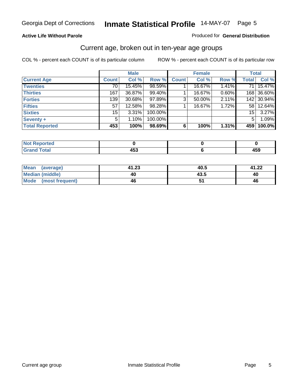#### **Active Life Without Parole**

#### Produced for **General Distribution**

#### Current age, broken out in ten-year age groups

|                       |              | <b>Male</b> |         |              | <b>Female</b> |       |                 | <b>Total</b> |
|-----------------------|--------------|-------------|---------|--------------|---------------|-------|-----------------|--------------|
| <b>Current Age</b>    | <b>Count</b> | Col %       | Row %   | <b>Count</b> | Col %         | Row % | <b>Total</b>    | Col %        |
| <b>Twenties</b>       | 70           | 15.45%      | 98.59%  |              | 16.67%        | 1.41% | 71              | 15.47%       |
| <b>Thirties</b>       | 167          | 36.87%      | 99.40%  |              | 16.67%        | 0.60% |                 | 168 36.60%   |
| <b>Forties</b>        | 139          | 30.68%      | 97.89%  | 3            | 50.00%        | 2.11% |                 | 142 30.94%   |
| <b>Fifties</b>        | 57           | 12.58%      | 98.28%  |              | 16.67%        | 1.72% |                 | 58 12.64%    |
| <b>Sixties</b>        | 15           | $3.31\%$    | 100.00% |              |               |       | 15 <sup>1</sup> | 3.27%        |
| Seventy +             | 5            | 1.10%       | 100.00% |              |               |       | 5               | 1.09%        |
| <b>Total Reported</b> | 453          | 100%        | 98.69%  | 6            | 100%          | 1.31% | 459             | 100.0%       |

| <b>Not Reported</b> |                          |          |
|---------------------|--------------------------|----------|
| <b>Grand Total</b>  | $\overline{\phantom{a}}$ | .<br>403 |

| <b>Mean</b><br>(average)       | 41.23 | 40.5 | 41.22 |
|--------------------------------|-------|------|-------|
| <b>Median (middle)</b>         | 40    | 43.5 | 40    |
| <b>Mode</b><br>(most frequent) | 46    |      | 46    |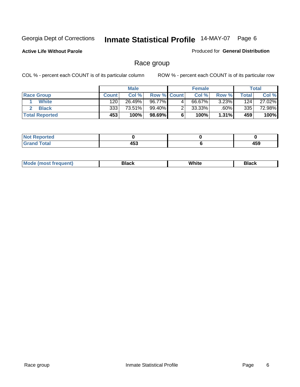**Active Life Without Parole** 

Produced for **General Distribution**

#### Race group

|                       |                  | <b>Male</b> |                    |   | <b>Female</b> |          |       | <b>Total</b> |
|-----------------------|------------------|-------------|--------------------|---|---------------|----------|-------|--------------|
| <b>Race Group</b>     | <b>Count</b>     | Col %       | <b>Row % Count</b> |   | Col %         | Row %    | Total | Col %        |
| <b>White</b>          | 120              | 26.49%      | 96.77%             | 4 | 66.67%        | $3.23\%$ | 124   | 27.02%       |
| <b>Black</b>          | 333 <sub>1</sub> | 73.51%      | 99.40%             |   | 33.33%        | $.60\%$  | 335   | 72.98%       |
| <b>Total Reported</b> | 453              | 100%        | 98.69%             |   | 100%          | 1.31%    | 459   | 100%         |

| <b>Reported</b><br>NI.<br>. |     |              |
|-----------------------------|-----|--------------|
| <b>Cotal</b><br>_____       | 453 | 1 F.O<br>403 |

| <b>Mode (most frequent)</b> | Black | White | Black |
|-----------------------------|-------|-------|-------|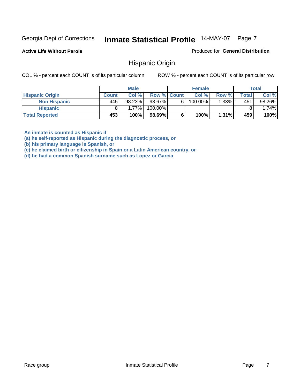**Active Life Without Parole** 

Produced for **General Distribution**

#### Hispanic Origin

COL % - percent each COUNT is of its particular column ROW % - percent each COUNT is of its particular row

|                        |              | <b>Male</b> |             |   | <b>Female</b> |          |       | <b>Total</b> |
|------------------------|--------------|-------------|-------------|---|---------------|----------|-------|--------------|
| <b>Hispanic Origin</b> | <b>Count</b> | Col %       | Row % Count |   | Col %         | Row %    | Total | Col %        |
| <b>Non Hispanic</b>    | 445          | 98.23%      | 98.67%      | 6 | 100.00%       | $1.33\%$ | 451   | 98.26%       |
| <b>Hispanic</b>        |              | $1.77\%$    | 100.00%     |   |               |          |       | 1.74%        |
| <b>Total Reported</b>  | 453'         | 100%        | 98.69%      |   | 100%          | 1.31%    | 459   | 100%         |

**An inmate is counted as Hispanic if** 

**(a) he self-reported as Hispanic during the diagnostic process, or** 

**(b) his primary language is Spanish, or** 

**(c) he claimed birth or citizenship in Spain or a Latin American country, or** 

**(d) he had a common Spanish surname such as Lopez or Garcia**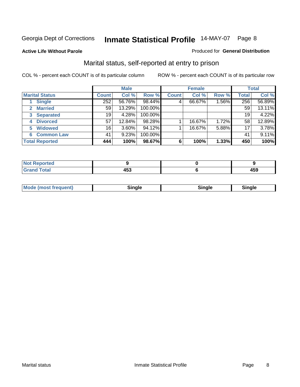**Active Life Without Parole** 

#### Produced for **General Distribution**

#### Marital status, self-reported at entry to prison

|                                |              | <b>Male</b> |         |              | <b>Female</b> |       |              | <b>Total</b> |  |
|--------------------------------|--------------|-------------|---------|--------------|---------------|-------|--------------|--------------|--|
| <b>Marital Status</b>          | <b>Count</b> | Col %       | Row %   | <b>Count</b> | Col %         | Row % | <b>Total</b> | Col %        |  |
| <b>Single</b>                  | 252          | 56.76%      | 98.44%  | 4            | 66.67%        | 1.56% | 256          | 56.89%       |  |
| <b>Married</b><br>$\mathbf{2}$ | 59           | 13.29%      | 100.00% |              |               |       | 59           | 13.11%       |  |
| <b>Separated</b><br>3          | 19           | 4.28%       | 100.00% |              |               |       | 19           | 4.22%        |  |
| <b>Divorced</b><br>4           | 57           | 12.84%      | 98.28%  |              | 16.67%        | 1.72% | 58           | 12.89%       |  |
| <b>Widowed</b><br>5            | 16           | $3.60\%$    | 94.12%  |              | 16.67%        | 5.88% | 17           | 3.78%        |  |
| <b>Common Law</b><br>6         | 41           | 9.23%       | 100.00% |              |               |       | 41           | 9.11%        |  |
| <b>Total Reported</b>          | 444          | 100%        | 98.67%  | 6            | 100%          | 1.33% | 450          | 100%         |  |

| - - -<br>т.<br>__ | .<br>. . |
|-------------------|----------|

| <b>Mode (most frequent)</b><br>Sinale<br>≒ınale |
|-------------------------------------------------|
|-------------------------------------------------|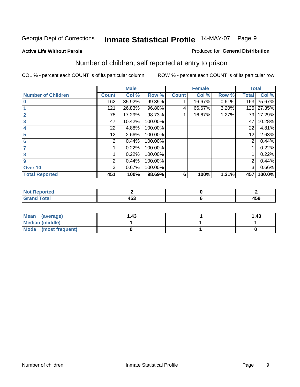#### **Active Life Without Parole**

#### Produced for **General Distribution**

## Number of children, self reported at entry to prison

|                           |              | <b>Male</b> |         |              | <b>Female</b> |       | <b>Total</b>   |        |
|---------------------------|--------------|-------------|---------|--------------|---------------|-------|----------------|--------|
| <b>Number of Children</b> | <b>Count</b> | Col %       | Row %   | <b>Count</b> | Col %         | Row % | <b>Total</b>   | Col %  |
| $\bf{0}$                  | 162          | 35.92%      | 99.39%  |              | 16.67%        | 0.61% | 163            | 35.67% |
|                           | 121          | 26.83%      | 96.80%  | 4            | 66.67%        | 3.20% | 125            | 27.35% |
| $\overline{2}$            | 78           | 17.29%      | 98.73%  |              | 16.67%        | 1.27% | 79             | 17.29% |
| 3                         | 47           | 10.42%      | 100.00% |              |               |       | 47             | 10.28% |
| 4                         | 22           | 4.88%       | 100.00% |              |               |       | 22             | 4.81%  |
| 5                         | 12.          | 2.66%       | 100.00% |              |               |       | 12             | 2.63%  |
| 6                         | 2            | 0.44%       | 100.00% |              |               |       | 2              | 0.44%  |
|                           |              | 0.22%       | 100.00% |              |               |       |                | 0.22%  |
| 8                         |              | 0.22%       | 100.00% |              |               |       |                | 0.22%  |
| 9                         | 2            | 0.44%       | 100.00% |              |               |       | $\overline{2}$ | 0.44%  |
| Over 10                   | 3            | 0.67%       | 100.00% |              |               |       | 3              | 0.66%  |
| <b>Total Reported</b>     | 451          | 100%        | 98.69%  | 6            | 100%          | 1.31% | 457            | 100.0% |

| للمستقصات<br>теа<br>N<br>. |              |     |
|----------------------------|--------------|-----|
| $T = 4$<br>---<br>-        | 1 P A<br>499 | 459 |

| <b>Mean</b><br>(average) | .43 | 1.43 |
|--------------------------|-----|------|
| <b>Median (middle)</b>   |     |      |
| Mode (most frequent)     |     |      |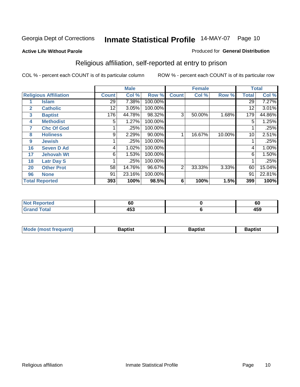#### **Active Life Without Parole**

#### Produced for **General Distribution**

## Religious affiliation, self-reported at entry to prison

|              |                              |              | <b>Male</b> |         |                | <b>Female</b> |        |              | <b>Total</b> |
|--------------|------------------------------|--------------|-------------|---------|----------------|---------------|--------|--------------|--------------|
|              | <b>Religious Affiliation</b> | <b>Count</b> | Col %       | Row %   | <b>Count</b>   | Col %         | Row %  | <b>Total</b> | Col %        |
|              | <b>Islam</b>                 | 29           | 7.38%       | 100.00% |                |               |        | 29           | 7.27%        |
| $\mathbf{2}$ | <b>Catholic</b>              | 12           | 3.05%       | 100.00% |                |               |        | 12           | 3.01%        |
| 3            | <b>Baptist</b>               | 176          | 44.78%      | 98.32%  | 3              | 50.00%        | 1.68%  | 179          | 44.86%       |
| 4            | <b>Methodist</b>             | 5            | 1.27%       | 100.00% |                |               |        | 5            | 1.25%        |
| 7            | <b>Chc Of God</b>            |              | .25%        | 100.00% |                |               |        |              | .25%         |
| 8            | <b>Holiness</b>              | 9            | 2.29%       | 90.00%  |                | 16.67%        | 10.00% | 10           | 2.51%        |
| 9            | <b>Jewish</b>                |              | .25%        | 100.00% |                |               |        |              | .25%         |
| 16           | <b>Seven D Ad</b>            | 4            | 1.02%       | 100.00% |                |               |        | 4            | 1.00%        |
| 17           | <b>Jehovah Wt</b>            | 6            | 1.53%       | 100.00% |                |               |        | 6            | 1.50%        |
| 18           | <b>Latr Day S</b>            |              | .25%        | 100.00% |                |               |        |              | .25%         |
| 20           | <b>Other Prot</b>            | 58           | 14.76%      | 96.67%  | $\overline{2}$ | 33.33%        | 3.33%  | 60           | 15.04%       |
| 96           | <b>None</b>                  | 91           | 23.16%      | 100.00% |                |               |        | 91           | 22.81%       |
|              | <b>Total Reported</b>        | 393          | 100%        | 98.5%   | 6              | 100%          | 1.5%   | 399          | 100%         |

| <b>rted</b> | υu          | υu           |
|-------------|-------------|--------------|
| 'otal       | 1 P A<br>יי | 1 E N<br>435 |

| <b>Mode (most frequent)</b> | <b>Baptist</b> | <b>Baptist</b> | <b>Baptist</b> |
|-----------------------------|----------------|----------------|----------------|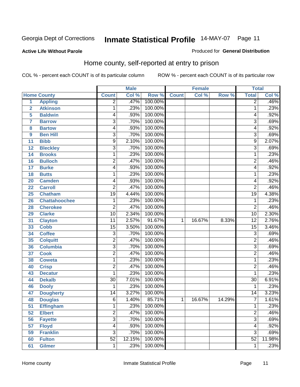Produced for **General Distribution**

#### **Active Life Without Parole**

#### Home county, self-reported at entry to prison

|                |                      |                         | <b>Male</b> |         |              | <b>Female</b> |        | <b>Total</b>    |        |
|----------------|----------------------|-------------------------|-------------|---------|--------------|---------------|--------|-----------------|--------|
|                | <b>Home County</b>   | <b>Count</b>            | Col %       | Row %   | <b>Count</b> | Col %         | Row %  | <b>Total</b>    | Col %  |
| 1              | <b>Appling</b>       | $\overline{2}$          | .47%        | 100.00% |              |               |        | $\overline{2}$  | .46%   |
| $\overline{2}$ | <b>Atkinson</b>      | 1                       | .23%        | 100.00% |              |               |        | 1               | .23%   |
| 5              | <b>Baldwin</b>       | 4                       | .93%        | 100.00% |              |               |        | 4               | .92%   |
| 7              | <b>Barrow</b>        | $\overline{3}$          | .70%        | 100.00% |              |               |        | $\overline{3}$  | .69%   |
| 8              | <b>Bartow</b>        | 4                       | .93%        | 100.00% |              |               |        | 4               | .92%   |
| 9              | <b>Ben Hill</b>      | $\overline{3}$          | .70%        | 100.00% |              |               |        | $\overline{3}$  | .69%   |
| 11             | <b>Bibb</b>          | 9                       | 2.10%       | 100.00% |              |               |        | 9               | 2.07%  |
| 12             | <b>Bleckley</b>      | $\overline{3}$          | .70%        | 100.00% |              |               |        | $\overline{3}$  | .69%   |
| 14             | <b>Brooks</b>        | 1                       | .23%        | 100.00% |              |               |        | 1               | .23%   |
| 16             | <b>Bulloch</b>       | $\overline{\mathbf{c}}$ | .47%        | 100.00% |              |               |        | $\overline{2}$  | .46%   |
| 17             | <b>Burke</b>         | 4                       | .93%        | 100.00% |              |               |        | 4               | .92%   |
| 18             | <b>Butts</b>         | 1                       | .23%        | 100.00% |              |               |        | 1               | .23%   |
| 20             | <b>Camden</b>        | 4                       | .93%        | 100.00% |              |               |        | 4               | .92%   |
| 22             | <b>Carroll</b>       | $\overline{2}$          | .47%        | 100.00% |              |               |        | $\overline{2}$  | .46%   |
| 25             | <b>Chatham</b>       | $\overline{19}$         | 4.44%       | 100.00% |              |               |        | $\overline{19}$ | 4.38%  |
| 26             | <b>Chattahoochee</b> | 1                       | .23%        | 100.00% |              |               |        | 1               | .23%   |
| 28             | <b>Cherokee</b>      | $\overline{2}$          | .47%        | 100.00% |              |               |        | $\overline{2}$  | .46%   |
| 29             | <b>Clarke</b>        | 10                      | 2.34%       | 100.00% |              |               |        | 10              | 2.30%  |
| 31             | <b>Clayton</b>       | $\overline{11}$         | 2.57%       | 91.67%  | 1            | 16.67%        | 8.33%  | $\overline{12}$ | 2.76%  |
| 33             | <b>Cobb</b>          | 15                      | 3.50%       | 100.00% |              |               |        | $\overline{15}$ | 3.46%  |
| 34             | <b>Coffee</b>        | $\overline{3}$          | .70%        | 100.00% |              |               |        | $\overline{3}$  | .69%   |
| 35             | <b>Colquitt</b>      | $\overline{2}$          | .47%        | 100.00% |              |               |        | $\overline{2}$  | .46%   |
| 36             | <b>Columbia</b>      | $\overline{3}$          | .70%        | 100.00% |              |               |        | $\overline{3}$  | .69%   |
| 37             | <b>Cook</b>          | $\overline{2}$          | .47%        | 100.00% |              |               |        | $\overline{2}$  | .46%   |
| 38             | <b>Coweta</b>        | 1                       | .23%        | 100.00% |              |               |        | 1               | .23%   |
| 40             | <b>Crisp</b>         | $\overline{\mathbf{c}}$ | .47%        | 100.00% |              |               |        | $\overline{2}$  | .46%   |
| 43             | <b>Decatur</b>       | 1                       | .23%        | 100.00% |              |               |        | 1               | .23%   |
| 44             | <b>Dekalb</b>        | $\overline{30}$         | 7.01%       | 100.00% |              |               |        | $\overline{30}$ | 6.91%  |
| 46             | <b>Dooly</b>         | 1                       | .23%        | 100.00% |              |               |        | 1               | .23%   |
| 47             | <b>Dougherty</b>     | 14                      | 3.27%       | 100.00% |              |               |        | 14              | 3.23%  |
| 48             | <b>Douglas</b>       | $\overline{6}$          | 1.40%       | 85.71%  | 1            | 16.67%        | 14.29% | 7               | 1.61%  |
| 51             | <b>Effingham</b>     | 1                       | .23%        | 100.00% |              |               |        | 1               | .23%   |
| 52             | <b>Elbert</b>        | $\overline{2}$          | .47%        | 100.00% |              |               |        | $\overline{2}$  | .46%   |
| 56             | <b>Fayette</b>       | $\overline{3}$          | .70%        | 100.00% |              |               |        | $\overline{3}$  | .69%   |
| 57             | <b>Floyd</b>         | $\overline{4}$          | .93%        | 100.00% |              |               |        | 4               | .92%   |
| 59             | <b>Franklin</b>      | $\overline{3}$          | .70%        | 100.00% |              |               |        | $\overline{3}$  | .69%   |
| 60             | <b>Fulton</b>        | $\overline{52}$         | 12.15%      | 100.00% |              |               |        | $\overline{52}$ | 11.98% |
| 61             | <b>Gilmer</b>        | 1                       | .23%        | 100.00% |              |               |        | 1               | .23%   |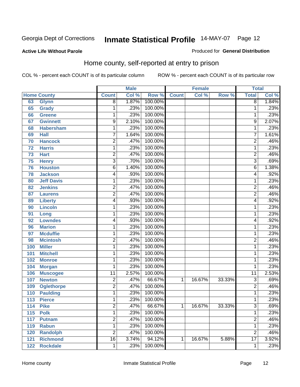Produced for **General Distribution**

#### **Active Life Without Parole**

#### Home county, self-reported at entry to prison

|     |                    |                 | <b>Male</b> |         |              | <b>Female</b> |        | <b>Total</b>    |       |
|-----|--------------------|-----------------|-------------|---------|--------------|---------------|--------|-----------------|-------|
|     | <b>Home County</b> | <b>Count</b>    | Col %       | Row %   | <b>Count</b> | Col %         | Row %  | <b>Total</b>    | Col % |
| 63  | <b>Glynn</b>       | $\overline{8}$  | 1.87%       | 100.00% |              |               |        | 8               | 1.84% |
| 65  | Grady              | 1               | .23%        | 100.00% |              |               |        | 1               | .23%  |
| 66  | <b>Greene</b>      | 1               | .23%        | 100.00% |              |               |        | 1               | .23%  |
| 67  | <b>Gwinnett</b>    | 9               | 2.10%       | 100.00% |              |               |        | 9               | 2.07% |
| 68  | <b>Habersham</b>   | $\mathbf{1}$    | .23%        | 100.00% |              |               |        | 1               | .23%  |
| 69  | <b>Hall</b>        | 7               | 1.64%       | 100.00% |              |               |        | $\overline{7}$  | 1.61% |
| 70  | <b>Hancock</b>     | $\overline{2}$  | .47%        | 100.00% |              |               |        | $\overline{2}$  | .46%  |
| 72  | <b>Harris</b>      | 1               | .23%        | 100.00% |              |               |        | 1               | .23%  |
| 73  | <b>Hart</b>        | $\overline{c}$  | .47%        | 100.00% |              |               |        | $\overline{2}$  | .46%  |
| 75  | <b>Henry</b>       | 3               | .70%        | 100.00% |              |               |        | $\overline{3}$  | .69%  |
| 76  | <b>Houston</b>     | $\overline{6}$  | 1.40%       | 100.00% |              |               |        | $\overline{6}$  | 1.38% |
| 78  | <b>Jackson</b>     | 4               | .93%        | 100.00% |              |               |        | 4               | .92%  |
| 80  | <b>Jeff Davis</b>  | 1               | .23%        | 100.00% |              |               |        | 1               | .23%  |
| 82  | <b>Jenkins</b>     | 2               | .47%        | 100.00% |              |               |        | $\overline{2}$  | .46%  |
| 87  | <b>Laurens</b>     | $\overline{2}$  | .47%        | 100.00% |              |               |        | $\overline{2}$  | .46%  |
| 89  | <b>Liberty</b>     | 4               | .93%        | 100.00% |              |               |        | 4               | .92%  |
| 90  | Lincoln            | 1               | .23%        | 100.00% |              |               |        | 1               | .23%  |
| 91  | Long               | 1               | .23%        | 100.00% |              |               |        | 1               | .23%  |
| 92  | <b>Lowndes</b>     | 4               | .93%        | 100.00% |              |               |        | 4               | .92%  |
| 96  | <b>Marion</b>      | 1               | .23%        | 100.00% |              |               |        | 1               | .23%  |
| 97  | <b>Mcduffie</b>    | 1               | .23%        | 100.00% |              |               |        | 1               | .23%  |
| 98  | <b>Mcintosh</b>    | $\overline{2}$  | .47%        | 100.00% |              |               |        | $\overline{2}$  | .46%  |
| 100 | <b>Miller</b>      | 1               | .23%        | 100.00% |              |               |        | 1               | .23%  |
| 101 | <b>Mitchell</b>    | 1               | .23%        | 100.00% |              |               |        | 1               | .23%  |
| 102 | <b>Monroe</b>      | 1               | .23%        | 100.00% |              |               |        | 1               | .23%  |
| 104 | <b>Morgan</b>      | 1               | .23%        | 100.00% |              |               |        | 1               | .23%  |
| 106 | <b>Muscogee</b>    | $\overline{11}$ | 2.57%       | 100.00% |              |               |        | $\overline{11}$ | 2.53% |
| 107 | <b>Newton</b>      | 2               | .47%        | 66.67%  | 1            | 16.67%        | 33.33% | 3               | .69%  |
| 109 | <b>Oglethorpe</b>  | $\overline{2}$  | .47%        | 100.00% |              |               |        | $\overline{2}$  | .46%  |
| 110 | <b>Paulding</b>    | 1               | .23%        | 100.00% |              |               |        | 1               | .23%  |
| 113 | <b>Pierce</b>      | 1               | .23%        | 100.00% |              |               |        | 1               | .23%  |
| 114 | <b>Pike</b>        | 2               | .47%        | 66.67%  | 1            | 16.67%        | 33.33% | 3               | .69%  |
| 115 | <b>Polk</b>        | $\overline{1}$  | .23%        | 100.00% |              |               |        | 1               | .23%  |
| 117 | <b>Putnam</b>      | $\overline{2}$  | .47%        | 100.00% |              |               |        | $\overline{2}$  | .46%  |
| 119 | <b>Rabun</b>       | $\mathbf{1}$    | .23%        | 100.00% |              |               |        | 1               | .23%  |
| 120 | <b>Randolph</b>    | $\overline{2}$  | .47%        | 100.00% |              |               |        | $\overline{2}$  | .46%  |
| 121 | <b>Richmond</b>    | $\overline{16}$ | 3.74%       | 94.12%  | 1            | 16.67%        | 5.88%  | $\overline{17}$ | 3.92% |
| 122 | <b>Rockdale</b>    | 1               | .23%        | 100.00% |              |               |        | 1               | .23%  |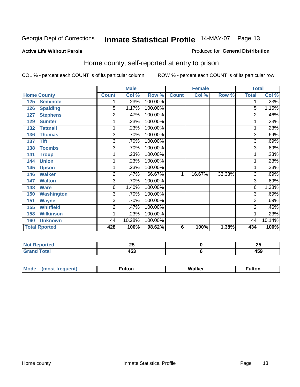#### **Active Life Without Parole**

#### Produced for **General Distribution**

#### Home county, self-reported at entry to prison

|                          |                | <b>Male</b> |         |              | <b>Female</b> |        | <b>Total</b> |        |
|--------------------------|----------------|-------------|---------|--------------|---------------|--------|--------------|--------|
| <b>Home County</b>       | <b>Count</b>   | Col %       | Row %   | <b>Count</b> | Col %         | Row %  | <b>Total</b> | Col %  |
| <b>Seminole</b><br>125   |                | .23%        | 100.00% |              |               |        |              | .23%   |
| <b>Spalding</b><br>126   | $\overline{5}$ | 1.17%       | 100.00% |              |               |        | 5            | 1.15%  |
| <b>Stephens</b><br>127   | $\overline{2}$ | .47%        | 100.00% |              |               |        | 2            | .46%   |
| <b>Sumter</b><br>129     | 1              | .23%        | 100.00% |              |               |        |              | .23%   |
| <b>Tattnall</b><br>132   | 1              | .23%        | 100.00% |              |               |        | 1            | .23%   |
| 136<br><b>Thomas</b>     | $\overline{3}$ | .70%        | 100.00% |              |               |        | 3            | .69%   |
| <b>Tift</b><br>137       | 3              | .70%        | 100.00% |              |               |        | 3            | .69%   |
| <b>Toombs</b><br>138     | 3              | .70%        | 100.00% |              |               |        | 3            | .69%   |
| 141<br><b>Troup</b>      | 1              | .23%        | 100.00% |              |               |        |              | .23%   |
| <b>Union</b><br>144      | 1              | .23%        | 100.00% |              |               |        |              | .23%   |
| 145<br><b>Upson</b>      | 1              | .23%        | 100.00% |              |               |        |              | .23%   |
| <b>Walker</b><br>146     | 2              | .47%        | 66.67%  | 1            | 16.67%        | 33.33% | 3            | .69%   |
| <b>Walton</b><br>147     | 3              | .70%        | 100.00% |              |               |        | 3            | .69%   |
| <b>Ware</b><br>148       | 6              | 1.40%       | 100.00% |              |               |        | 6            | 1.38%  |
| <b>Washington</b><br>150 | 3              | .70%        | 100.00% |              |               |        | 3            | .69%   |
| <b>Wayne</b><br>151      | $\overline{3}$ | .70%        | 100.00% |              |               |        | 3            | .69%   |
| <b>Whitfield</b><br>155  | $\overline{c}$ | .47%        | 100.00% |              |               |        | 2            | .46%   |
| <b>Wilkinson</b><br>158  | 1              | .23%        | 100.00% |              |               |        |              | .23%   |
| <b>Unknown</b><br>160    | 44             | 10.28%      | 100.00% |              |               |        | 44           | 10.14% |
| <b>Total Rported</b>     | 428            | 100%        | 98.62%  | 6            | 100%          | 1.38%  | 434          | 100%   |

| rtea                                       | - -        | ሳይ  |
|--------------------------------------------|------------|-----|
| .                                          | --         | W   |
| <b>otal</b><br>$\sim$ $\sim$ $\sim$ $\sim$ | ""^<br>די+ | 403 |

| $^{\circ}$ M <sub>c</sub><br>w | __________ |
|--------------------------------|------------|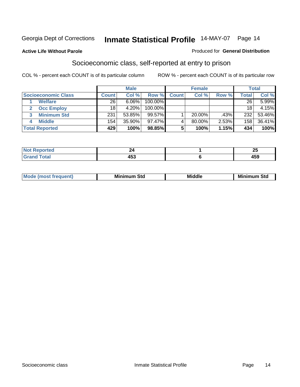#### **Active Life Without Parole**

#### Produced for **General Distribution**

#### Socioeconomic class, self-reported at entry to prison

|                            | <b>Male</b>      |        |            | <b>Female</b> |           |       | <b>Total</b>     |        |
|----------------------------|------------------|--------|------------|---------------|-----------|-------|------------------|--------|
| <b>Socioeconomic Class</b> | <b>Count</b>     | Col %  | Row %      | <b>Count</b>  | Col %     | Row % | <b>Total</b>     | Col %  |
| <b>Welfare</b>             | 26               | 6.06%  | 100.00%    |               |           |       | 26               | 5.99%  |
| <b>Occ Employ</b>          | 18               | 4.20%  | $100.00\%$ |               |           |       | 18               | 4.15%  |
| <b>Minimum Std</b>         | 231              | 53.85% | 99.57%     |               | $20.00\%$ | .43%  | 232              | 53.46% |
| <b>Middle</b>              | 154 <sub>1</sub> | 35.90% | $97.47\%$  |               | 80.00%    | 2.53% | 158 <sub>1</sub> | 36.41% |
| <b>Total Reported</b>      | 429              | 100%   | 98.85%     |               | 100%      | 1.15% | 434              | 100%   |

| тео      | --    | $\sim$ $\sim$<br>$\overline{\phantom{a}}$ |
|----------|-------|-------------------------------------------|
| Contact: | . ר י | $\overline{\phantom{a}}$                  |
| $\sim$   | 400   | 405                                       |

| M<br>Mir<br>Mi<br><b>Middle</b><br><b>C</b> ta<br>Sta<br>oτu<br>.<br>the contract of the contract of the contract of the contract of the contract of the contract of the contract of<br>___ |
|---------------------------------------------------------------------------------------------------------------------------------------------------------------------------------------------|
|---------------------------------------------------------------------------------------------------------------------------------------------------------------------------------------------|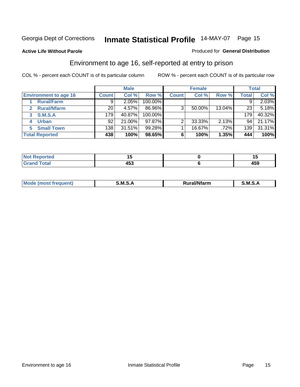#### **Active Life Without Parole**

#### Produced for **General Distribution**

#### Environment to age 16, self-reported at entry to prison

|                              | <b>Male</b>  |        | <b>Female</b> |              |        | <b>Total</b> |              |        |
|------------------------------|--------------|--------|---------------|--------------|--------|--------------|--------------|--------|
| <b>Environment to age 16</b> | <b>Count</b> | Col %  | Row %         | <b>Count</b> | Col %  | Row %        | <b>Total</b> | Col %  |
| <b>Rural/Farm</b>            | 9            | 2.05%  | 100.00%       |              |        |              |              | 2.03%  |
| <b>Rural/Nfarm</b><br>2      | 20           | 4.57%  | 86.96%        | 3            | 50.00% | 13.04%       | 23           | 5.18%  |
| <b>S.M.S.A</b><br>3          | 179          | 40.87% | 100.00%       |              |        |              | 179          | 40.32% |
| <b>Urban</b><br>4            | 92           | 21.00% | $97.87\%$     |              | 33.33% | 2.13%        | 94           | 21.17% |
| <b>Small Town</b>            | 138          | 31.51% | 99.28%        |              | 16.67% | .72%         | 139          | 31.31% |
| <b>Total Reported</b>        | 438          | 100%   | 98.65%        | 6            | 100%   | 1.35%        | 444          | 100%   |

| Reported<br>No.       |     | . .                             |
|-----------------------|-----|---------------------------------|
| <b>Total</b><br>Grand | 453 | $\overline{\phantom{a}}$<br>499 |

| Mo<br><b>CONTRACTOR</b><br>. M S<br>M<br>---<br>Nfarn<br>.<br>_____<br>______ |  |  |
|-------------------------------------------------------------------------------|--|--|
|                                                                               |  |  |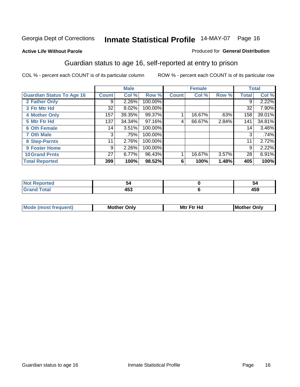#### **Active Life Without Parole**

#### Produced for **General Distribution**

#### Guardian status to age 16, self-reported at entry to prison

|                                  |              | <b>Male</b> |         |              | <b>Female</b> |       |              | <b>Total</b> |
|----------------------------------|--------------|-------------|---------|--------------|---------------|-------|--------------|--------------|
| <b>Guardian Status To Age 16</b> | <b>Count</b> | Col %       | Row %   | <b>Count</b> | Col %         | Row % | <b>Total</b> | Col %        |
| 2 Father Only                    | 9            | 2.26%       | 100.00% |              |               |       | 9            | 2.22%        |
| 3 Ftr Mtr Hd                     | 32           | 8.02%       | 100.00% |              |               |       | 32           | 7.90%        |
| <b>4 Mother Only</b>             | 157          | 39.35%      | 99.37%  |              | 16.67%        | .63%  | 158          | 39.01%       |
| 5 Mtr Ftr Hd                     | 137          | 34.34%      | 97.16%  | 4            | 66.67%        | 2.84% | 141          | 34.81%       |
| <b>6 Oth Female</b>              | 14           | 3.51%       | 100.00% |              |               |       | 14           | 3.46%        |
| <b>7 Oth Male</b>                | 3            | .75%        | 100.00% |              |               |       | 3            | .74%         |
| 8 Step-Parnts                    | 11           | 2.76%       | 100.00% |              |               |       | 11           | 2.72%        |
| 9 Foster Home                    | 9            | 2.26%       | 100.00% |              |               |       | 9            | 2.22%        |
| <b>10 Grand Prnts</b>            | 27           | 6.77%       | 96.43%  |              | 16.67%        | 3.57% | 28           | 6.91%        |
| <b>Total Reported</b>            | 399          | 100%        | 98.52%  | 6            | 100%          | 1.48% | 405          | 100%         |

|   |     | D.                   |
|---|-----|----------------------|
| - | --- | $\sim$ $\sim$ $\sim$ |
|   |     | 433                  |

| <b>Mou</b> | Mother<br>Onlv | Hd<br>Mtr<br>E4w | M<br>Only<br>. |
|------------|----------------|------------------|----------------|
|            |                |                  |                |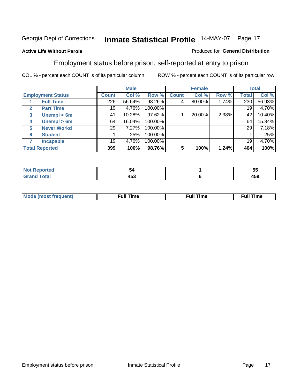#### **Active Life Without Parole**

#### Produced for **General Distribution**

#### Employment status before prison, self-reported at entry to prison

|                          |                    | <b>Male</b> |        |         | <b>Female</b> |        |       | <b>Total</b> |        |
|--------------------------|--------------------|-------------|--------|---------|---------------|--------|-------|--------------|--------|
| <b>Employment Status</b> |                    | Count       | Col %  | Row %   | <b>Count</b>  | Col %  | Row % | Total        | Col %  |
|                          | <b>Full Time</b>   | 226         | 56.64% | 98.26%  | 4             | 80.00% | 1.74% | 230          | 56.93% |
| $\mathbf{2}$             | <b>Part Time</b>   | 19          | 4.76%  | 100.00% |               |        |       | 19           | 4.70%  |
| 3                        | Unempl $<$ 6m      | 41          | 10.28% | 97.62%  |               | 20.00% | 2.38% | 42           | 10.40% |
| 4                        | Unempl $> 6m$      | 64          | 16.04% | 100.00% |               |        |       | 64           | 15.84% |
| 5                        | <b>Never Workd</b> | 29          | 7.27%  | 100.00% |               |        |       | 29           | 7.18%  |
| 6                        | <b>Student</b>     |             | .25%   | 100.00% |               |        |       |              | .25%   |
|                          | <b>Incapable</b>   | 19          | 4.76%  | 100.00% |               |        |       | 19           | 4.70%  |
| <b>Total Reported</b>    |                    | 399         | 100%   | 98.76%  | 5             | 100%   | 1.24% | 404          | 100%   |

| тес.   | 54                  | --<br><br>ູບປ |
|--------|---------------------|---------------|
| イーエーティ | . רמ<br>45J<br>$ -$ | 1 E O<br>409  |

| <b>M</b> ດ | the contract of the contract of the contract of the contract of the contract of the contract of the contract of | , ull i<br>ıme | ïme<br>uı<br>$\sim$ $\sim$ $\sim$ $\sim$ $\sim$ |
|------------|-----------------------------------------------------------------------------------------------------------------|----------------|-------------------------------------------------|
|            |                                                                                                                 |                |                                                 |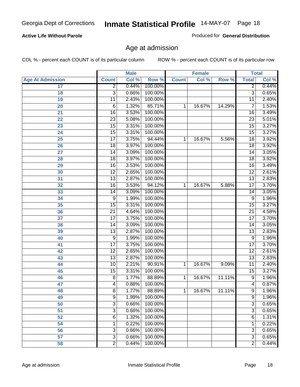#### **Active Life Without Parole**

Produced for **General Distribution**

#### Age at admission

|                         |                 | <b>Male</b> |         |              | <b>Female</b> |        | <b>Total</b>    |       |
|-------------------------|-----------------|-------------|---------|--------------|---------------|--------|-----------------|-------|
| <b>Age At Admission</b> | <b>Count</b>    | Col %       | Row %   | <b>Count</b> | Col %         | Row %  | <b>Total</b>    | Col % |
| 17                      | $\overline{2}$  | 0.44%       | 100.00% |              |               |        | 2               | 0.44% |
| 18                      | $\overline{3}$  | 0.66%       | 100.00% |              |               |        | $\overline{3}$  | 0.65% |
| 19                      | $\overline{11}$ | 2.43%       | 100.00% |              |               |        | $\overline{11}$ | 2.40% |
| 20                      | 6               | 1.32%       | 85.71%  | 1            | 16.67%        | 14.29% | 7               | 1.53% |
| 21                      | $\overline{16}$ | 3.53%       | 100.00% |              |               |        | 16              | 3.49% |
| 22                      | $\overline{23}$ | 5.08%       | 100.00% |              |               |        | $\overline{23}$ | 5.01% |
| 23                      | $\overline{15}$ | 3.31%       | 100.00% |              |               |        | $\overline{15}$ | 3.27% |
| 24                      | $\overline{15}$ | 3.31%       | 100.00% |              |               |        | 15              | 3.27% |
| 25                      | $\overline{17}$ | 3.75%       | 94.44%  | 1            | 16.67%        | 5.56%  | $\overline{18}$ | 3.92% |
| 26                      | 18              | 3.97%       | 100.00% |              |               |        | 18              | 3.92% |
| 27                      | $\overline{14}$ | 3.09%       | 100.00% |              |               |        | $\overline{14}$ | 3.05% |
| 28                      | 18              | 3.97%       | 100.00% |              |               |        | 18              | 3.92% |
| 29                      | $\overline{16}$ | 3.53%       | 100.00% |              |               |        | $\overline{16}$ | 3.49% |
| 30                      | $\overline{12}$ | 2.65%       | 100.00% |              |               |        | $\overline{12}$ | 2.61% |
| 31                      | $\overline{13}$ | 2.87%       | 100.00% |              |               |        | $\overline{13}$ | 2.83% |
| 32                      | $\overline{16}$ | 3.53%       | 94.12%  | 1            | 16.67%        | 5.88%  | 17              | 3.70% |
| 33                      | 14              | 3.09%       | 100.00% |              |               |        | 14              | 3.05% |
| 34                      | 9               | 1.99%       | 100.00% |              |               |        | 9               | 1.96% |
| 35                      | 15              | 3.31%       | 100.00% |              |               |        | $\overline{15}$ | 3.27% |
| 36                      | $\overline{21}$ | 4.64%       | 100.00% |              |               |        | $\overline{21}$ | 4.58% |
| 37                      | $\overline{17}$ | 3.75%       | 100.00% |              |               |        | $\overline{17}$ | 3.70% |
| 38                      | $\overline{14}$ | 3.09%       | 100.00% |              |               |        | 14              | 3.05% |
| 39                      | $\overline{13}$ | 2.87%       | 100.00% |              |               |        | $\overline{13}$ | 2.83% |
| 40                      | 9               | 1.99%       | 100.00% |              |               |        | 9               | 1.96% |
| 41                      | $\overline{17}$ | 3.75%       | 100.00% |              |               |        | $\overline{17}$ | 3.70% |
| 42                      | $\overline{12}$ | 2.65%       | 100.00% |              |               |        | $\overline{12}$ | 2.61% |
| 43                      | $\overline{13}$ | 2.87%       | 100.00% |              |               |        | $\overline{13}$ | 2.83% |
| 44                      | 10              | 2.21%       | 90.91%  | 1            | 16.67%        | 9.09%  | 11              | 2.40% |
| 45                      | $\overline{15}$ | 3.31%       | 100.00% |              |               |        | $\overline{15}$ | 3.27% |
| 46                      | $\overline{8}$  | 1.77%       | 88.89%  | 1            | 16.67%        | 11.11% | $\overline{9}$  | 1.96% |
| 47                      | 4               | 0.88%       | 100.00% |              |               |        | $\overline{4}$  | 0.87% |
| 48                      | 8               | 1.77%       | 88.89%  | 1            | 16.67%        | 11.11% | 9               | 1.96% |
| 49                      | 9               | 1.99%       | 100.00% |              |               |        | 9               | 1.96% |
| 50                      | $\overline{3}$  | 0.66%       | 100.00% |              |               |        | $\overline{3}$  | 0.65% |
| 51                      | 3               | 0.66%       | 100.00% |              |               |        | $\overline{3}$  | 0.65% |
| 52                      | 6               | 1.32%       | 100.00% |              |               |        | 6               | 1.31% |
| 54                      | 1               | 0.22%       | 100.00% |              |               |        | 1               | 0.22% |
| 56                      | 3               | 0.66%       | 100.00% |              |               |        | $\overline{3}$  | 0.65% |
| 57                      | $\overline{3}$  | 0.66%       | 100.00% |              |               |        | $\overline{3}$  | 0.65% |
| 58                      | $\overline{2}$  | 0.44%       | 100.00% |              |               |        | $\overline{2}$  | 0.44% |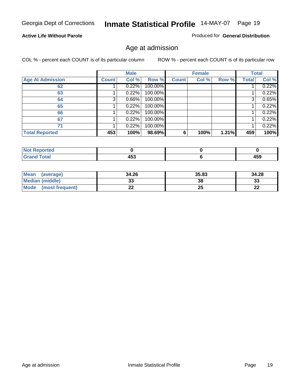#### **Active Life Without Parole**

Produced for **General Distribution**

#### Age at admission

|                         |              | <b>Male</b> |         |              | <b>Female</b> |       |              | <b>Total</b> |
|-------------------------|--------------|-------------|---------|--------------|---------------|-------|--------------|--------------|
| <b>Age At Admission</b> | <b>Count</b> | Col %       | Row %   | <b>Count</b> | Col %         | Row % | <b>Total</b> | Col %        |
| 62                      |              | 0.22%       | 100.00% |              |               |       |              | 0.22%        |
| 63                      |              | 0.22%       | 100.00% |              |               |       |              | 0.22%        |
| 64                      | 3            | 0.66%       | 100.00% |              |               |       | 3            | 0.65%        |
| 65                      |              | 0.22%       | 100.00% |              |               |       |              | 0.22%        |
| 66                      |              | 0.22%       | 100.00% |              |               |       |              | 0.22%        |
| 67                      |              | 0.22%       | 100.00% |              |               |       |              | 0.22%        |
| 71                      |              | 0.22%       | 100.00% |              |               |       |              | 0.22%        |
| <b>Total Reported</b>   | 453          | 100%        | 98.69%  | 6            | 100%          | 1.31% | 459          | 100%         |

| .<br>__ | .<br>433 |
|---------|----------|

| Mean<br>(average)      | 34.26 | 35.83 | 34.28    |
|------------------------|-------|-------|----------|
| <b>Median (middle)</b> | აა    | 38    | າາ<br>ند |
| Mode (most frequent)   | ∸∸    | 25    | ົ<br>LL  |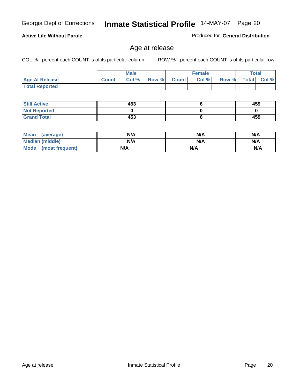#### **Active Life Without Parole**

Produced for **General Distribution**

#### Age at release

|                       |              | <b>Male</b> |       |              | <b>Female</b> |       | Total        |          |
|-----------------------|--------------|-------------|-------|--------------|---------------|-------|--------------|----------|
| <b>Age At Release</b> | <b>Count</b> | Col%        | Row % | <b>Count</b> | Col %         | Row % | <b>Total</b> | $Col \%$ |
| <b>Total Reported</b> |              |             |       |              |               |       |              |          |

| <b>Still Active</b> | 453 | 459 |
|---------------------|-----|-----|
| <b>Not Reported</b> |     |     |
| <b>Grand Total</b>  | 453 | 459 |

| Mean<br>(average)      | N/A | N/A | N/A |
|------------------------|-----|-----|-----|
| <b>Median (middle)</b> | N/A | N/A | N/A |
| Mode (most frequent)   | N/A | N/A | N/A |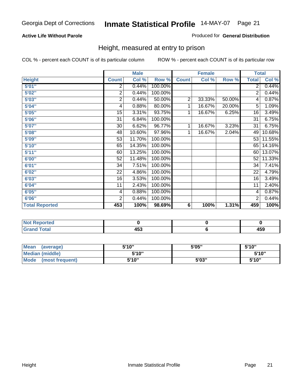#### **Active Life Without Parole**

#### Produced for **General Distribution**

#### Height, measured at entry to prison

|                       |                | <b>Male</b> |         |                | <b>Female</b> |        | <b>Total</b>    |        |
|-----------------------|----------------|-------------|---------|----------------|---------------|--------|-----------------|--------|
| <b>Height</b>         | <b>Count</b>   | Col %       | Row %   | <b>Count</b>   | Col %         | Row %  | <b>Total</b>    | Col %  |
| 5'01''                | 2              | 0.44%       | 100.00% |                |               |        | $\overline{2}$  | 0.44%  |
| 5'02"                 | $\overline{2}$ | 0.44%       | 100.00% |                |               |        | 2               | 0.44%  |
| 5'03"                 | 2              | 0.44%       | 50.00%  | $\overline{2}$ | 33.33%        | 50.00% | 4               | 0.87%  |
| 5'04"                 | 4              | 0.88%       | 80.00%  | 1              | 16.67%        | 20.00% | 5               | 1.09%  |
| 5'05"                 | 15             | 3.31%       | 93.75%  | 1              | 16.67%        | 6.25%  | 16              | 3.49%  |
| 5'06"                 | 31             | 6.84%       | 100.00% |                |               |        | $\overline{31}$ | 6.75%  |
| 5'07''                | 30             | 6.62%       | 96.77%  | 1              | 16.67%        | 3.23%  | 31              | 6.75%  |
| 5'08"                 | 48             | 10.60%      | 97.96%  | $\mathbf{1}$   | 16.67%        | 2.04%  | 49              | 10.68% |
| 5'09"                 | 53             | 11.70%      | 100.00% |                |               |        | 53              | 11.55% |
| 5'10''                | 65             | 14.35%      | 100.00% |                |               |        | 65              | 14.16% |
| 5'11''                | 60             | 13.25%      | 100.00% |                |               |        | 60              | 13.07% |
| 6'00"                 | 52             | 11.48%      | 100.00% |                |               |        | 52              | 11.33% |
| 6'01''                | 34             | 7.51%       | 100.00% |                |               |        | 34              | 7.41%  |
| 6'02"                 | 22             | 4.86%       | 100.00% |                |               |        | 22              | 4.79%  |
| 6'03"                 | 16             | 3.53%       | 100.00% |                |               |        | 16              | 3.49%  |
| 6'04"                 | 11             | 2.43%       | 100.00% |                |               |        | 11              | 2.40%  |
| 6'05"                 | 4              | 0.88%       | 100.00% |                |               |        | 4               | 0.87%  |
| 6'06"                 | $\overline{2}$ | 0.44%       | 100.00% |                |               |        | 2               | 0.44%  |
| <b>Total Reported</b> | 453            | 100%        | 98.69%  | 6              | 100%          | 1.31%  | 459             | 100%   |

| oorted<br>TV 6                      |              |              |
|-------------------------------------|--------------|--------------|
| $int^{\bullet}$<br>$\sim$<br>______ | 1 P A<br>453 | 1 r o<br>4ວວ |

| Mean<br>(average)              | 5'10" | 5'05" | 5'10" |
|--------------------------------|-------|-------|-------|
| Median (middle)                | 5'10" |       | 5'10" |
| <b>Mode</b><br>(most frequent) | 5'10" | 5'03" | 5'10" |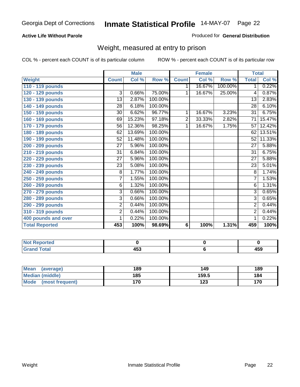#### **Active Life Without Parole**

#### Produced for **General Distribution**

#### Weight, measured at entry to prison

|                       |                 | <b>Male</b> |         |              | <b>Female</b> |         |                 | <b>Total</b> |
|-----------------------|-----------------|-------------|---------|--------------|---------------|---------|-----------------|--------------|
| <b>Weight</b>         | <b>Count</b>    | Col %       | Row %   | <b>Count</b> | Col %         | Row %   | <b>Total</b>    | Col %        |
| 110 - 119 pounds      |                 |             |         | 1            | 16.67%        | 100.00% | 1 <sup>1</sup>  | 0.22%        |
| 120 - 129 pounds      | $\overline{3}$  | 0.66%       | 75.00%  | 1            | 16.67%        | 25.00%  | 4               | 0.87%        |
| 130 - 139 pounds      | 13              | 2.87%       | 100.00% |              |               |         | $\overline{13}$ | 2.83%        |
| 140 - 149 pounds      | 28              | 6.18%       | 100.00% |              |               |         | 28              | 6.10%        |
| 150 - 159 pounds      | 30              | 6.62%       | 96.77%  | 1            | 16.67%        | 3.23%   | $\overline{31}$ | 6.75%        |
| 160 - 169 pounds      | 69              | 15.23%      | 97.18%  | 2            | 33.33%        | 2.82%   | 71              | 15.47%       |
| 170 - 179 pounds      | 56              | 12.36%      | 98.25%  | 1            | 16.67%        | 1.75%   | $\overline{57}$ | 12.42%       |
| 180 - 189 pounds      | 62              | 13.69%      | 100.00% |              |               |         | 62              | 13.51%       |
| 190 - 199 pounds      | 52              | 11.48%      | 100.00% |              |               |         | 52              | 11.33%       |
| 200 - 209 pounds      | 27              | 5.96%       | 100.00% |              |               |         | $\overline{27}$ | 5.88%        |
| 210 - 219 pounds      | 31              | 6.84%       | 100.00% |              |               |         | 31              | 6.75%        |
| 220 - 229 pounds      | $\overline{27}$ | 5.96%       | 100.00% |              |               |         | $\overline{27}$ | 5.88%        |
| 230 - 239 pounds      | $\overline{23}$ | 5.08%       | 100.00% |              |               |         | 23              | 5.01%        |
| 240 - 249 pounds      | 8               | 1.77%       | 100.00% |              |               |         | 8               | 1.74%        |
| 250 - 259 pounds      | $\overline{7}$  | 1.55%       | 100.00% |              |               |         | $\overline{7}$  | 1.53%        |
| 260 - 269 pounds      | 6               | 1.32%       | 100.00% |              |               |         | 6               | 1.31%        |
| 270 - 279 pounds      | 3               | 0.66%       | 100.00% |              |               |         | $\overline{3}$  | 0.65%        |
| 280 - 289 pounds      | 3               | 0.66%       | 100.00% |              |               |         | $\overline{3}$  | 0.65%        |
| 290 - 299 pounds      | 2               | 0.44%       | 100.00% |              |               |         | $\overline{2}$  | 0.44%        |
| 310 - 319 pounds      | $\overline{2}$  | 0.44%       | 100.00% |              |               |         | $\overline{2}$  | 0.44%        |
| 400 pounds and over   | 1               | 0.22%       | 100.00% |              |               |         | 1               | 0.22%        |
| <b>Total Reported</b> | 453             | 100%        | 98.69%  | 6            | 100%          | 1.31%   | 459             | 100%         |

| .<br><b>NO</b><br><b>rreo</b> |                             |              |
|-------------------------------|-----------------------------|--------------|
| <b>Total</b><br>Gra           | $\mathbf{A}$<br>נים<br>$ -$ | 1 F A<br>າບວ |

| Mean<br>(average)       | 189 | 149   | 189 |
|-------------------------|-----|-------|-----|
| Median (middle)         | 185 | 159.5 | 184 |
| Mode<br>(most frequent) | 170 | 123   | 170 |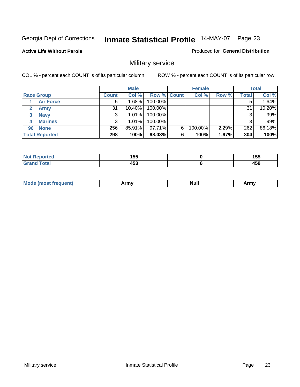**Active Life Without Parole** 

Produced for **General Distribution**

## Military service

|                       |              | <b>Male</b> |                    |   | <b>Female</b> |       |       | <b>Total</b> |
|-----------------------|--------------|-------------|--------------------|---|---------------|-------|-------|--------------|
| <b>Race Group</b>     | <b>Count</b> | Col %       | <b>Row % Count</b> |   | Col %         | Row % | Total | Col %        |
| <b>Air Force</b>      | 5            | 1.68%       | 100.00%            |   |               |       |       | 1.64%        |
| <b>Army</b>           | 31           | $10.40\%$   | 100.00%            |   |               |       | 31    | 10.20%       |
| <b>Navy</b><br>3      |              | $1.01\%$    | 100.00%            |   |               |       |       | .99%         |
| <b>Marines</b><br>4   | 3            | $1.01\%$    | 100.00%            |   |               |       | 3     | .99%         |
| <b>None</b><br>96     | 256          | 85.91%      | 97.71%             | 6 | 100.00%       | 2.29% | 262   | 86.18%       |
| <b>Total Reported</b> | 298          | 100%        | 98.03%             | 6 | 100%          | 1.97% | 304   | 100%         |

| للمستقصر<br>тес. | 4 F.F<br>טטו<br>__ | 1 F.F<br>טטו<br>__ |
|------------------|--------------------|--------------------|
| Cotot            | 453                | 459                |

| M<br><b>IVUII</b><br>.<br>. |
|-----------------------------|
|-----------------------------|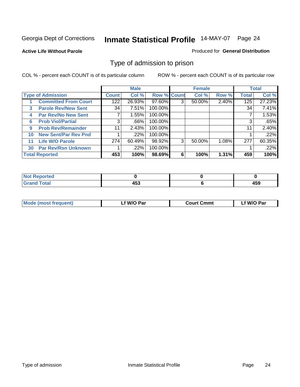#### **Active Life Without Parole**

#### Produced for **General Distribution**

#### Type of admission to prison

|    |                             |              | <b>Male</b> |                    |   | <b>Female</b> |       |              | <b>Total</b> |
|----|-----------------------------|--------------|-------------|--------------------|---|---------------|-------|--------------|--------------|
|    | <b>Type of Admission</b>    | <b>Count</b> | Col %       | <b>Row % Count</b> |   | Col %         | Row % | <b>Total</b> | Col %        |
|    | <b>Committed From Court</b> | 122          | 26.93%      | 97.60%             | 3 | 50.00%        | 2.40% | 125          | 27.23%       |
| 3  | <b>Parole Rev/New Sent</b>  | 34           | 7.51%       | 100.00%            |   |               |       | 34           | 7.41%        |
| 4  | <b>Par Rev/No New Sent</b>  | 7            | 1.55%       | 100.00%            |   |               |       |              | 1.53%        |
| 6  | <b>Prob Viol/Partial</b>    | 3            | .66%        | 100.00%            |   |               |       | 3            | .65%         |
| 9  | <b>Prob Rev/Remainder</b>   | 11           | 2.43%       | 100.00%            |   |               |       | 11           | 2.40%        |
| 10 | <b>New Sent/Par Rev Pnd</b> |              | .22%        | 100.00%            |   |               |       |              | .22%         |
| 11 | <b>Life W/O Parole</b>      | 274          | 60.49%      | 98.92%             | 3 | 50.00%        | 1.08% | 277          | 60.35%       |
| 30 | <b>Par Rev/Rsn Unknown</b>  |              | .22%        | 100.00%            |   |               |       |              | .22%         |
|    | <b>Total Reported</b>       | 453          | 100%        | 98.69%             | 6 | 100%          | 1.31% | 459          | 100%         |

| eported<br>ומשו                                  |                     |                                 |
|--------------------------------------------------|---------------------|---------------------------------|
| <b>Total</b><br>C-rs<br>$\sim$ . $\sim$ . $\sim$ | $\overline{ }$<br>. | $\overline{\phantom{a}}$<br>433 |

| <b>Mode (most frequent)</b> | <b>W/O Par</b> | <b>Court Cmmt</b> | M/O Par |
|-----------------------------|----------------|-------------------|---------|
|                             |                |                   |         |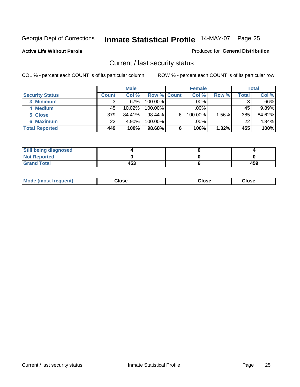**Active Life Without Parole** 

Produced for **General Distribution**

#### Current / last security status

|                        |              | <b>Male</b> |                    |   | <b>Female</b> |       |       | <b>Total</b> |
|------------------------|--------------|-------------|--------------------|---|---------------|-------|-------|--------------|
| <b>Security Status</b> | <b>Count</b> | Col %       | <b>Row % Count</b> |   | Col %         | Row % | Total | Col %        |
| 3 Minimum              | 3            | $.67\%$     | $100.00\%$         |   | .00%          |       |       | $.66\%$      |
| 4 Medium               | 45           | 10.02%      | $100.00\%$         |   | $.00\%$       |       | 45    | 9.89%        |
| 5 Close                | 379          | 84.41%      | $98.44\%$          | 6 | 100.00%       | 1.56% | 385   | 84.62%       |
| 6 Maximum              | 22           | 4.90%       | 100.00%            |   | .00%          |       | 22    | 4.84%        |
| <b>Total Reported</b>  | 449          | 100%        | 98.68%             | 6 | 100%          | 1.32% | 455   | 100%         |

| <b>Still being diagnosed</b> |     |     |
|------------------------------|-----|-----|
| <b>Not Reported</b>          |     |     |
| <b>Grand Total</b>           | 453 | 459 |

|  | Mo<br>frequent)<br>יצניות ו | Close<br>. | ાose<br>. | <b>OSE</b><br>. |
|--|-----------------------------|------------|-----------|-----------------|
|--|-----------------------------|------------|-----------|-----------------|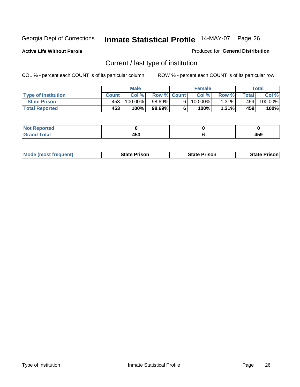**Active Life Without Parole** 

Produced for **General Distribution**

## Current / last type of institution

|                            |              | <b>Male</b> |                    | <b>Female</b> |          |         | Total   |
|----------------------------|--------------|-------------|--------------------|---------------|----------|---------|---------|
| <b>Type of Institution</b> | <b>Count</b> | Col%        | <b>Row % Count</b> | Col %         | Row %I   | Total I | Col %   |
| <b>State Prison</b>        | 453          | 100.00%」    | 98.69%             | $100.00\%$    | $1.31\%$ | 459 l   | 100.00% |
| <b>Total Reported</b>      | 453          | 100%        | 98.69%             | $100\%$       | 1.31%    | 459     | 100%    |

| <b>rted</b><br>. |         |                      |
|------------------|---------|----------------------|
| ı ulal           | .<br>__ | 1 E A<br>403<br>$ -$ |

|  | <b>Mode (most frequent)</b> | State Prison | <b>State Prison</b> | <b>State Prison</b> |
|--|-----------------------------|--------------|---------------------|---------------------|
|--|-----------------------------|--------------|---------------------|---------------------|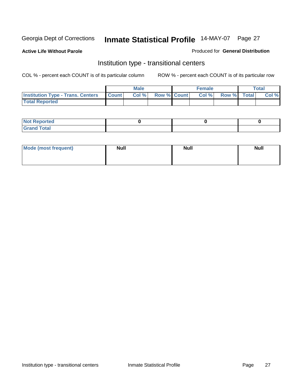**Active Life Without Parole** 

Produced for **General Distribution**

#### Institution type - transitional centers

|                                                  | <b>Male</b> |                    | <b>Female</b> |             | <b>Total</b> |
|--------------------------------------------------|-------------|--------------------|---------------|-------------|--------------|
| <b>Institution Type - Trans. Centers Count  </b> | Col %       | <b>Row % Count</b> | Col%          | Row % Total | Col %        |
| <b>Total Reported</b>                            |             |                    |               |             |              |

| rtea<br>20 NGL 2<br>  |  |  |
|-----------------------|--|--|
| into!<br>---<br>_____ |  |  |

| Mode (most frequent) | <b>Null</b> | <b>Null</b> | <b>Null</b> |
|----------------------|-------------|-------------|-------------|
|                      |             |             |             |
|                      |             |             |             |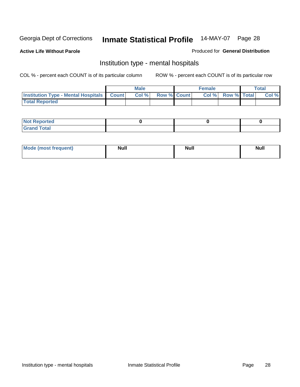**Active Life Without Parole** 

Produced for **General Distribution**

#### Institution type - mental hospitals

|                                                  | <b>Male</b> |                    | <b>Female</b> |                   | <b>Total</b> |
|--------------------------------------------------|-------------|--------------------|---------------|-------------------|--------------|
| <b>Institution Type - Mental Hospitals Count</b> | Col%        | <b>Row % Count</b> |               | Col % Row % Total | Col %        |
| <b>Total Reported</b>                            |             |                    |               |                   |              |

| <b>Not Reported</b> |  |  |
|---------------------|--|--|
| <b>Total</b><br>Cro |  |  |

| Mode (most frequent) | <b>Null</b> | <b>Null</b> | <b>Null</b> |
|----------------------|-------------|-------------|-------------|
|                      |             |             |             |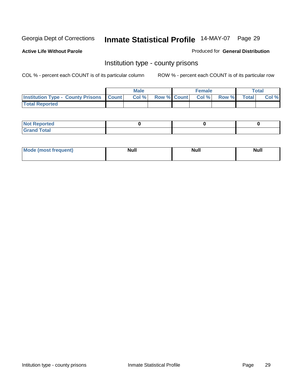**Active Life Without Parole** 

Produced for **General Distribution**

#### Institution type - county prisons

|                                                    | <b>Male</b> |                          | <b>Female</b> |       |              | Total |
|----------------------------------------------------|-------------|--------------------------|---------------|-------|--------------|-------|
| <b>Institution Type - County Prisons   Count  </b> | Col %       | <b>Row % Count Col %</b> |               | Row % | <b>Total</b> | Col % |
| <b>Total Reported</b>                              |             |                          |               |       |              |       |

| <b>Not</b><br><b>Reported</b> |  |  |
|-------------------------------|--|--|
| <b>Grand Total</b>            |  |  |

| <b>Mo</b><br>frequent) | NI. . II<br>1u 11 | <b>Moll</b> | <b>Null</b> |
|------------------------|-------------------|-------------|-------------|
|                        |                   |             |             |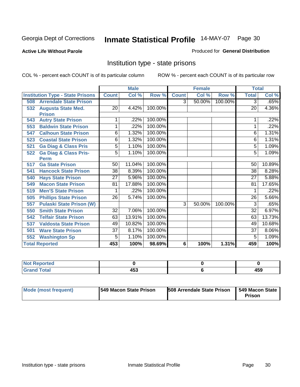**Active Life Without Parole** 

Produced for **General Distribution**

#### Institution type - state prisons

|                                         |                 | <b>Male</b> |         |                | <b>Female</b> |         | <b>Total</b>    |          |
|-----------------------------------------|-----------------|-------------|---------|----------------|---------------|---------|-----------------|----------|
| <b>Institution Type - State Prisons</b> | <b>Count</b>    | Col %       | Row %   | <b>Count</b>   | Col %         | Row %   | <b>Total</b>    | Col %    |
| <b>Arrendale State Prison</b><br>508    |                 |             |         | $\overline{3}$ | 50.00%        | 100.00% | $\overline{3}$  | .65%     |
| <b>Augusta State Med.</b><br>532        | 20              | 4.42%       | 100.00% |                |               |         | 20              | 4.36%    |
| <b>Prison</b>                           |                 |             |         |                |               |         |                 |          |
| <b>Autry State Prison</b><br>543        | 1               | .22%        | 100.00% |                |               |         |                 | .22%     |
| <b>Baldwin State Prison</b><br>553      | 1               | .22%        | 100.00% |                |               |         | 1               | .22%     |
| <b>Calhoun State Prison</b><br>547      | 6               | 1.32%       | 100.00% |                |               |         | 6               | 1.31%    |
| <b>Coastal State Prison</b><br>523      | 6               | 1.32%       | 100.00% |                |               |         | 6               | 1.31%    |
| <b>Ga Diag &amp; Class Pris</b><br>521  | 5               | 1.10%       | 100.00% |                |               |         | 5               | 1.09%    |
| <b>Ga Diag &amp; Class Pris-</b><br>522 | 5               | 1.10%       | 100.00% |                |               |         | 5               | 1.09%    |
| <b>Perm</b>                             |                 |             |         |                |               |         |                 |          |
| <b>Ga State Prison</b><br>517           | 50              | 11.04%      | 100.00% |                |               |         | 50              | 10.89%   |
| <b>Hancock State Prison</b><br>541      | 38              | 8.39%       | 100.00% |                |               |         | 38              | 8.28%    |
| <b>Hays State Prison</b><br>540         | $\overline{27}$ | 5.96%       | 100.00% |                |               |         | 27              | 5.88%    |
| <b>Macon State Prison</b><br>549        | 81              | 17.88%      | 100.00% |                |               |         | 81              | 17.65%   |
| <b>Men'S State Prison</b><br>519        | 1               | .22%        | 100.00% |                |               |         |                 | .22%     |
| <b>Phillips State Prison</b><br>505     | $\overline{26}$ | 5.74%       | 100.00% |                |               |         | 26              | 5.66%    |
| <b>Pulaski State Prison (W)</b><br>557  |                 |             |         | 3              | 50.00%        | 100.00% | 3               | .65%     |
| <b>Smith State Prison</b><br>550        | $\overline{32}$ | 7.06%       | 100.00% |                |               |         | $\overline{32}$ | 6.97%    |
| <b>Telfair State Prison</b><br>542      | 63              | 13.91%      | 100.00% |                |               |         | 63              | 13.73%   |
| <b>Valdosta State Prison</b><br>537     | 49              | 10.82%      | 100.00% |                |               |         | 49              | 10.68%   |
| <b>Ware State Prison</b><br>501         | $\overline{37}$ | 8.17%       | 100.00% |                |               |         | $\overline{37}$ | $8.06\%$ |
| <b>Washington Sp</b><br>552             | 5               | 1.10%       | 100.00% |                |               |         | 5               | 1.09%    |
| <b>Total Reported</b>                   | 453             | 100%        | 98.69%  | 6              | 100%          | 1.31%   | 459             | 100%     |

| <b>ported</b><br>N<br>.          |              |     |
|----------------------------------|--------------|-----|
| <b>Total</b><br>C <sub>ucu</sub> | 1 P A<br>400 | 459 |

| Mode (most frequent) | <b>1549 Macon State Prison</b> | <b>508 Arrendale State Prison</b> | 549 Macon State  <br>Prison |
|----------------------|--------------------------------|-----------------------------------|-----------------------------|
|----------------------|--------------------------------|-----------------------------------|-----------------------------|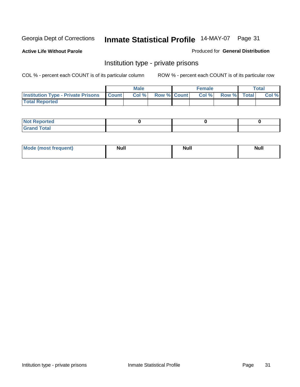**Active Life Without Parole** 

Produced for **General Distribution**

#### Institution type - private prisons

|                                                     | <b>Male</b> |                    | <b>Female</b> |             | <b>Total</b> |
|-----------------------------------------------------|-------------|--------------------|---------------|-------------|--------------|
| <b>Institution Type - Private Prisons   Count  </b> | Col %       | <b>Row % Count</b> | Col%          | Row % Total | Col %        |
| <b>Total Reported</b>                               |             |                    |               |             |              |

| <b>Not Reported</b> |  |  |
|---------------------|--|--|
| <b>otal</b><br>r.   |  |  |

| Mode (most frequent) | <b>Null</b> | <b>Null</b> | <b>Null</b> |
|----------------------|-------------|-------------|-------------|
|                      |             |             |             |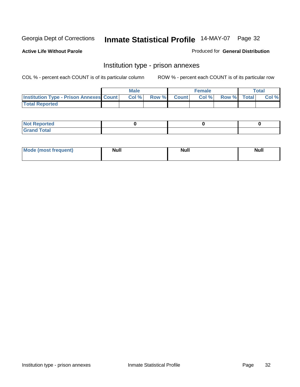**Active Life Without Parole** 

Produced for **General Distribution**

#### Institution type - prison annexes

|                                                  | <b>Male</b> |             | <b>Female</b> |             | Total |
|--------------------------------------------------|-------------|-------------|---------------|-------------|-------|
| <b>Institution Type - Prison Annexes Count  </b> | Col %       | Row % Count | Col %         | Row % Total | Col % |
| <b>Total Reported</b>                            |             |             |               |             |       |

| <b>Not Reported</b>        |  |  |
|----------------------------|--|--|
| <b>Total</b><br>-<br>_____ |  |  |

| Mode (most frequent) | <b>Null</b> | <b>Null</b> | <b>Null</b> |
|----------------------|-------------|-------------|-------------|
|                      |             |             |             |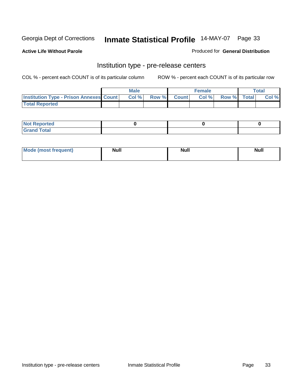**Active Life Without Parole** 

Produced for **General Distribution**

#### Institution type - pre-release centers

|                                                | <b>Male</b> |                    | <b>Female</b> |             | <b>Total</b> |
|------------------------------------------------|-------------|--------------------|---------------|-------------|--------------|
| <b>Institution Type - Prison Annexes Count</b> | Col %       | <b>Row % Count</b> | Col %         | Row % Total | Col %        |
| <b>Total Reported</b>                          |             |                    |               |             |              |

| <b>Not</b><br><b>Reported</b>    |  |  |
|----------------------------------|--|--|
| <b>Total</b><br>Gran<br>$\sim$ . |  |  |

| Mode (most frequent) | <b>Null</b> | <b>Null</b><br>_____ | <b>Null</b> |
|----------------------|-------------|----------------------|-------------|
|                      |             |                      |             |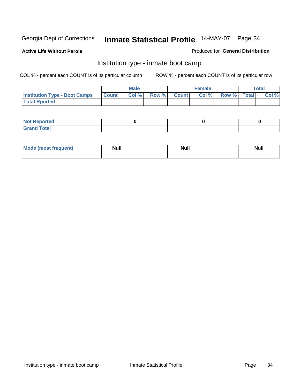**Active Life Without Parole** 

Produced for **General Distribution**

#### Institution type - inmate boot camp

|                                      |              | Male  |             | <b>Female</b> |             | <b>Total</b> |
|--------------------------------------|--------------|-------|-------------|---------------|-------------|--------------|
| <b>Institution Type - Boot Camps</b> | <b>Count</b> | Col % | Row % Count | Col%          | Row % Total | Col %        |
| <b>Total Rported</b>                 |              |       |             |               |             |              |

| <b>Not Reported</b>  |  |  |
|----------------------|--|--|
| <b>Total</b><br>Croy |  |  |

| Mode (most frequent) | <b>Null</b> | <b>Null</b> | <b>Null</b> |
|----------------------|-------------|-------------|-------------|
|                      |             |             |             |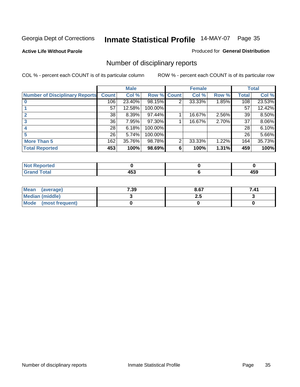#### **Active Life Without Parole**

#### Produced for **General Distribution**

## Number of disciplinary reports

|                                       |              | <b>Male</b> |             |   | <b>Female</b> |       |              | <b>Total</b> |
|---------------------------------------|--------------|-------------|-------------|---|---------------|-------|--------------|--------------|
| <b>Number of Disciplinary Reports</b> | <b>Count</b> | Col %       | Row % Count |   | Col %         | Row % | <b>Total</b> | Col %        |
|                                       | 106          | 23.40%      | 98.15%      | 2 | 33.33%        | 1.85% | 108          | 23.53%       |
|                                       | 57           | 12.58%      | 100.00%     |   |               |       | 57           | 12.42%       |
| 2                                     | 38           | 8.39%       | 97.44%      |   | 16.67%        | 2.56% | 39           | 8.50%        |
| 3                                     | 36           | 7.95%       | 97.30%      |   | 16.67%        | 2.70% | 37           | $8.06\%$     |
|                                       | 28           | 6.18%       | 100.00%     |   |               |       | 28           | 6.10%        |
| 5                                     | 26           | 5.74%       | 100.00%     |   |               |       | 26           | 5.66%        |
| <b>More Than 5</b>                    | 162          | 35.76%      | 98.78%      | 2 | 33.33%        | 1.22% | 164          | 35.73%       |
| <b>Total Reported</b>                 | 453          | 100%        | 98.69%      | 6 | 100%          | 1.31% | 459          | 100%         |

| .<br>N<br>Tet. |                  |                             |
|----------------|------------------|-----------------------------|
| Г∩tal          | .<br>マソー<br>$ -$ | $\overline{ }$<br>ーつこ<br>__ |

| Mean (average)       | 7.39 | 8.67 | 7.41 |
|----------------------|------|------|------|
| Median (middle)      |      | 2.J  |      |
| Mode (most frequent) |      |      |      |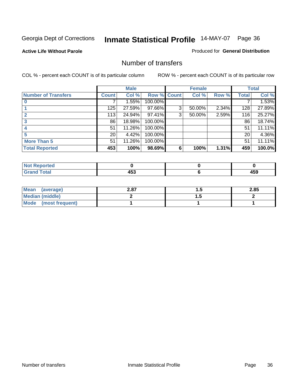**Active Life Without Parole** 

Produced for **General Distribution**

#### Number of transfers

|                            |                 | <b>Male</b> |             |   | <b>Female</b> |       |                 | <b>Total</b> |
|----------------------------|-----------------|-------------|-------------|---|---------------|-------|-----------------|--------------|
| <b>Number of Transfers</b> | <b>Count</b>    | Col %       | Row % Count |   | Col %         | Row % | <b>Total</b>    | Col %        |
|                            |                 | 1.55%       | 100.00%     |   |               |       |                 | 1.53%        |
|                            | 125             | 27.59%      | 97.66%      | 3 | 50.00%        | 2.34% | 128             | 27.89%       |
|                            | 113             | 24.94%      | 97.41%      | 3 | 50.00%        | 2.59% | 116             | 25.27%       |
| 3                          | 86              | 18.98%      | 100.00%     |   |               |       | 86              | 18.74%       |
|                            | 51              | 11.26%      | 100.00%     |   |               |       | 51              | 11.11%       |
|                            | 20 <sub>1</sub> | 4.42%       | 100.00%     |   |               |       | 20 <sup>1</sup> | 4.36%        |
| <b>More Than 5</b>         | 51              | 11.26%      | 100.00%     |   |               |       | 51              | 11.11%       |
| <b>Total Reported</b>      | 453             | 100%        | 98.69%      | 6 | 100%          | 1.31% | 459             | 100.0%       |

| N<br><b>ТН.</b> |                       |        |
|-----------------|-----------------------|--------|
| $T$ ntori       | - - -<br>----<br>$ -$ | .<br>. |

| Mean (average)       | 2.87 |   | 2.85 |
|----------------------|------|---|------|
| Median (middle)      |      | . |      |
| Mode (most frequent) |      |   |      |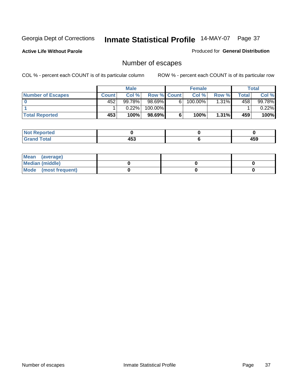**Active Life Without Parole** 

Produced for **General Distribution**

# Number of escapes

|                          |       | <b>Male</b> |                    |   | <b>Female</b> |          |       | <b>Total</b> |
|--------------------------|-------|-------------|--------------------|---|---------------|----------|-------|--------------|
| <b>Number of Escapes</b> | Count | Col %       | <b>Row % Count</b> |   | Col %         | Row %    | Total | Col %        |
|                          | 452   | 99.78%      | $98.69\%$          | 6 | 100.00%       | $1.31\%$ | 458   | 99.78%       |
|                          |       | $0.22\%$    | 100.00%            |   |               |          |       | $0.22\%$     |
| <b>Total Reported</b>    | 453   | 100%        | 98.69%             |   | 100%          | $1.31\%$ | 459   | 100%         |

| rteol                         |             |     |
|-------------------------------|-------------|-----|
| <b>otal</b><br><b>U</b> ldllu | 0 בו<br>400 | 459 |

| Mean (average)       |  |  |
|----------------------|--|--|
| Median (middle)      |  |  |
| Mode (most frequent) |  |  |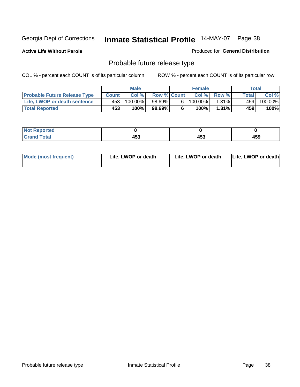**Active Life Without Parole** 

Produced for **General Distribution**

# Probable future release type

|                                     |              | <b>Male</b> |                    |   | <b>Female</b> |              |       | Total   |
|-------------------------------------|--------------|-------------|--------------------|---|---------------|--------------|-------|---------|
| <b>Probable Future Release Type</b> | <b>Count</b> | Col%        | <b>Row % Count</b> |   | Col %         | <b>Row %</b> | Total | Col %   |
| Life, LWOP or death sentence        | 453          | 100.00%     | 98.69%             | 6 | $100.00\%$    | $1.31\%$     | 459 l | 100.00% |
| <b>Total Reported</b>               | 453          | 100%        | 98.69%             | 6 | 100%          | 1.31%        | 459   | 100%    |

| <b>Reported</b> |             |     |     |
|-----------------|-------------|-----|-----|
| Total<br>------ | . רמ<br>400 | 453 | 459 |

| <b>Mode (most frequent)</b> | Life, LWOP or death | Life, LWOP or death | Life, LWOP or death |
|-----------------------------|---------------------|---------------------|---------------------|
|-----------------------------|---------------------|---------------------|---------------------|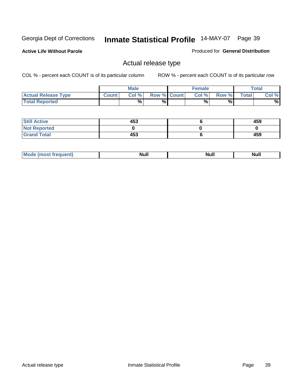**Active Life Without Parole** 

Produced for **General Distribution**

### Actual release type

|                            |        | <b>Male</b> |                    | Female   |       |              | Total |
|----------------------------|--------|-------------|--------------------|----------|-------|--------------|-------|
| <b>Actual Release Type</b> | Count. | Col %       | <b>Row % Count</b> | $Col \%$ | Row % | <b>Total</b> | Col % |
| <b>Total Reported</b>      |        | %           | %                  | %        | %     |              | %     |

| <b>Still Active</b> | 453 | 459 |
|---------------------|-----|-----|
| <b>Not Reported</b> |     |     |
| <b>Grand Total</b>  | 453 | 459 |

| M<br>____<br>_____ | NI | Null | $\cdots$ |
|--------------------|----|------|----------|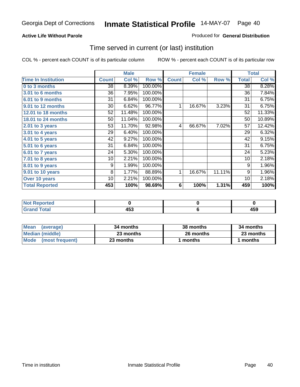#### **Active Life Without Parole**

#### Produced for **General Distribution**

### Time served in current (or last) institution

|                            |              | <b>Male</b> |         |              | <b>Female</b> |        |              | <b>Total</b> |
|----------------------------|--------------|-------------|---------|--------------|---------------|--------|--------------|--------------|
| <b>Time In Institution</b> | <b>Count</b> | Col %       | Row %   | <b>Count</b> | Col %         | Row %  | <b>Total</b> | Col %        |
| 0 to 3 months              | 38           | 8.39%       | 100.00% |              |               |        | 38           | 8.28%        |
| 3.01 to 6 months           | 36           | 7.95%       | 100.00% |              |               |        | 36           | 7.84%        |
| 6.01 to 9 months           | 31           | 6.84%       | 100.00% |              |               |        | 31           | 6.75%        |
| 9.01 to 12 months          | 30           | 6.62%       | 96.77%  | 1            | 16.67%        | 3.23%  | 31           | 6.75%        |
| 12.01 to 18 months         | 52           | 11.48%      | 100.00% |              |               |        | 52           | 11.33%       |
| 18.01 to 24 months         | 50           | 11.04%      | 100.00% |              |               |        | 50           | 10.89%       |
| $2.01$ to 3 years          | 53           | 11.70%      | 92.98%  | 4            | 66.67%        | 7.02%  | 57           | 12.42%       |
| $3.01$ to 4 years          | 29           | 6.40%       | 100.00% |              |               |        | 29           | 6.32%        |
| 4.01 to 5 years            | 42           | 9.27%       | 100.00% |              |               |        | 42           | 9.15%        |
| 5.01 to 6 years            | 31           | 6.84%       | 100.00% |              |               |        | 31           | 6.75%        |
| 6.01 to 7 years            | 24           | 5.30%       | 100.00% |              |               |        | 24           | 5.23%        |
| 7.01 to 8 years            | 10           | 2.21%       | 100.00% |              |               |        | 10           | 2.18%        |
| 8.01 to 9 years            | 9            | 1.99%       | 100.00% |              |               |        | 9            | 1.96%        |
| 9.01 to 10 years           | 8            | 1.77%       | 88.89%  | 1            | 16.67%        | 11.11% | 9            | 1.96%        |
| Over 10 years              | 10           | 2.21%       | 100.00% |              |               |        | 10           | 2.18%        |
| <b>Total Reported</b>      | 453          | 100%        | 98.69%  | 6            | 100%          | 1.31%  | 459          | 100%         |

| <b>Not</b><br><b>Reported</b> |              |          |
|-------------------------------|--------------|----------|
| <b>Total</b>                  | 1 F A<br>יט+ | .<br>433 |

| <b>Mean</b><br>(average) | 34 months | 38 months | 34 months |  |
|--------------------------|-----------|-----------|-----------|--|
| Median (middle)          | 23 months | 26 months | 23 months |  |
| Mode<br>(most frequent)  | 23 months | months    | months    |  |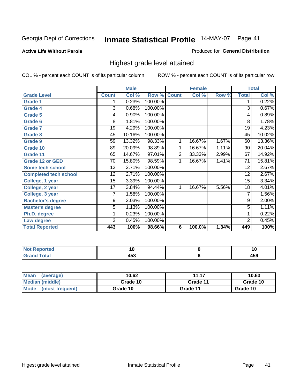#### **Active Life Without Parole**

#### Produced for **General Distribution**

### Highest grade level attained

|                              |                 | <b>Male</b> |         |                | <b>Female</b> |       |                | <b>Total</b> |
|------------------------------|-----------------|-------------|---------|----------------|---------------|-------|----------------|--------------|
| <b>Grade Level</b>           | <b>Count</b>    | Col %       | Row %   | <b>Count</b>   | Col %         | Row % | <b>Total</b>   | Col %        |
| <b>Grade 1</b>               | 1               | 0.23%       | 100.00% |                |               |       | 1              | 0.22%        |
| <b>Grade 4</b>               | $\overline{3}$  | 0.68%       | 100.00% |                |               |       | $\overline{3}$ | 0.67%        |
| Grade 5                      | 4               | 0.90%       | 100.00% |                |               |       | 4              | 0.89%        |
| Grade 6                      | 8               | 1.81%       | 100.00% |                |               |       | 8              | 1.78%        |
| <b>Grade 7</b>               | 19              | 4.29%       | 100.00% |                |               |       | 19             | 4.23%        |
| Grade 8                      | 45              | 10.16%      | 100.00% |                |               |       | 45             | 10.02%       |
| <b>Grade 9</b>               | 59              | 13.32%      | 98.33%  | 1              | 16.67%        | 1.67% | 60             | 13.36%       |
| Grade 10                     | 89              | 20.09%      | 98.89%  | 1              | 16.67%        | 1.11% | 90             | 20.04%       |
| Grade 11                     | 65              | 14.67%      | 97.01%  | $\overline{2}$ | 33.33%        | 2.99% | 67             | 14.92%       |
| <b>Grade 12 or GED</b>       | 70              | 15.80%      | 98.59%  | 1              | 16.67%        | 1.41% | 71             | 15.81%       |
| <b>Some tech school</b>      | $\overline{12}$ | 2.71%       | 100.00% |                |               |       | 12             | 2.67%        |
| <b>Completed tech school</b> | 12              | 2.71%       | 100.00% |                |               |       | 12             | 2.67%        |
| College, 1 year              | $\overline{15}$ | 3.39%       | 100.00% |                |               |       | 15             | 3.34%        |
| College, 2 year              | 17              | 3.84%       | 94.44%  | 1              | 16.67%        | 5.56% | 18             | 4.01%        |
| College, 3 year              | 7               | 1.58%       | 100.00% |                |               |       | 7              | 1.56%        |
| <b>Bachelor's degree</b>     | 9               | 2.03%       | 100.00% |                |               |       | 9              | 2.00%        |
| <b>Master's degree</b>       | 5               | 1.13%       | 100.00% |                |               |       | 5              | 1.11%        |
| Ph.D. degree                 | 1               | 0.23%       | 100.00% |                |               |       | 1              | 0.22%        |
| Law degree                   | 2               | 0.45%       | 100.00% |                |               |       | $\overline{2}$ | 0.45%        |
| <b>Total Reported</b>        | 443             | 100%        | 98.66%  | 6              | 100.0%        | 1.34% | 449            | 100%         |

| المناسب<br>rtea<br>N0<br>. | . w | 1 Y   |
|----------------------------|-----|-------|
| $T = 4 - T$                | .   | 1 E N |
| ---                        | 400 | 433   |

| <b>Mean</b><br>(average) | 10.62    | 11.17    | 10.63    |
|--------------------------|----------|----------|----------|
| Median (middle)          | Grade 10 | Grade 11 | Grade 10 |
| Mode (most frequent)     | Grade 10 | Grade 11 | Grade 10 |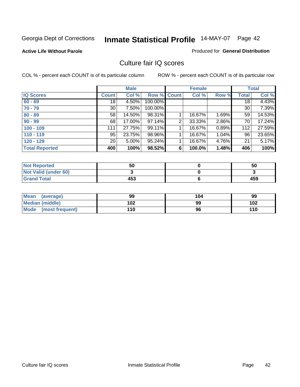#### **Active Life Without Parole**

#### Produced for **General Distribution**

### Culture fair IQ scores

|                       |                 | <b>Male</b> |             |                | <b>Female</b> |          |              | <b>Total</b> |
|-----------------------|-----------------|-------------|-------------|----------------|---------------|----------|--------------|--------------|
| <b>IQ Scores</b>      | <b>Count</b>    | Col %       | Row % Count |                | Col %         | Row %    | <b>Total</b> | Col %        |
| $60 - 69$             | 18 <sup>1</sup> | 4.50%       | 100.00%     |                |               |          | 18           | 4.43%        |
| $70 - 79$             | 30 <sup>°</sup> | 7.50%       | 100.00%     |                |               |          | 30           | 7.39%        |
| $80 - 89$             | 58              | 14.50%      | 98.31%      |                | 16.67%        | 1.69%    | 59           | 14.53%       |
| $90 - 99$             | 68              | 17.00%      | 97.14%      | $\overline{2}$ | 33.33%        | 2.86%    | 70           | 17.24%       |
| $100 - 109$           | 111             | 27.75%      | 99.11%      |                | 16.67%        | 0.89%    | 112          | 27.59%       |
| $110 - 119$           | 95              | 23.75%      | 98.96%      |                | 16.67%        | $1.04\%$ | 96           | 23.65%       |
| $120 - 129$           | 20 <sub>1</sub> | $5.00\%$    | 95.24%      |                | 16.67%        | 4.76%    | 21           | 5.17%        |
| <b>Total Reported</b> | 400             | 100%        | 98.52%      | 6              | 100.0%        | 1.48%    | 406          | 100%         |

| <b>Not Reported</b>         | 50  | 50  |
|-----------------------------|-----|-----|
| <b>Not Valid (under 60)</b> |     |     |
| <b>Grand Total</b>          | 453 | 459 |

| <b>Mean</b><br>(average)       | 99  | 104 | 99  |
|--------------------------------|-----|-----|-----|
| Median (middle)                | 102 | 99  | 102 |
| <b>Mode</b><br>(most frequent) | 110 | 96  | 110 |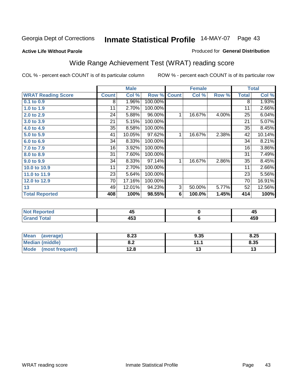#### **Active Life Without Parole**

### Produced for **General Distribution**

### Wide Range Achievement Test (WRAT) reading score

|                           |              | <b>Male</b> |         |                | <b>Female</b>  |       |              | <b>Total</b> |
|---------------------------|--------------|-------------|---------|----------------|----------------|-------|--------------|--------------|
| <b>WRAT Reading Score</b> | <b>Count</b> | Col %       | Row %   | <b>Count</b>   | Col %          | Row % | <b>Total</b> | Col %        |
| $0.1$ to $0.9$            | 8            | 1.96%       | 100.00% |                |                |       | 8            | 1.93%        |
| 1.0 to 1.9                | 11           | 2.70%       | 100.00% |                |                |       | 11           | 2.66%        |
| 2.0 to 2.9                | 24           | 5.88%       | 96.00%  | 1              | 16.67%         | 4.00% | 25           | 6.04%        |
| 3.0 to 3.9                | 21           | 5.15%       | 100.00% |                |                |       | 21           | 5.07%        |
| 4.0 to 4.9                | 35           | 8.58%       | 100.00% |                |                |       | 35           | 8.45%        |
| 5.0 to 5.9                | 41           | 10.05%      | 97.62%  | 1              | 16.67%         | 2.38% | 42           | 10.14%       |
| 6.0 to 6.9                | 34           | 8.33%       | 100.00% |                |                |       | 34           | 8.21%        |
| 7.0 to 7.9                | 16           | 3.92%       | 100.00% |                |                |       | 16           | 3.86%        |
| 8.0 to 8.9                | 31           | 7.60%       | 100.00% |                |                |       | 31           | 7.49%        |
| 9.0 to 9.9                | 34           | 8.33%       | 97.14%  | 1 <sub>1</sub> | 16.67%         | 2.86% | 35           | 8.45%        |
| 10.0 to 10.9              | 11           | 2.70%       | 100.00% |                |                |       | 11           | 2.66%        |
| 11.0 to 11.9              | 23           | 5.64%       | 100.00% |                |                |       | 23           | 5.56%        |
| 12.0 to 12.9              | 70           | 17.16%      | 100.00% |                |                |       | 70           | 16.91%       |
| 13                        | 49           | 12.01%      | 94.23%  | 3              | 50.00%         | 5.77% | 52           | 12.56%       |
| <b>Total Reported</b>     | 408          | 100%        | 98.55%  | 6              | 100.0%         | 1.45% | 414          | 100%         |
|                           |              |             |         |                |                |       |              |              |
| <b>Not Reported</b>       |              | 45          |         |                | $\pmb{0}$      |       |              | 45           |
| <b>Grand Total</b>        |              | 453         |         |                | $6\phantom{1}$ |       |              | 459          |

| <b>Mean</b><br>(average)       | 8.23       | 9.35     | 8.25 |
|--------------------------------|------------|----------|------|
| <b>Median (middle)</b>         | י ס<br>o.z | 111<br>. | 8.35 |
| <b>Mode</b><br>(most frequent) | 12.8       | ט ו      | ט ו  |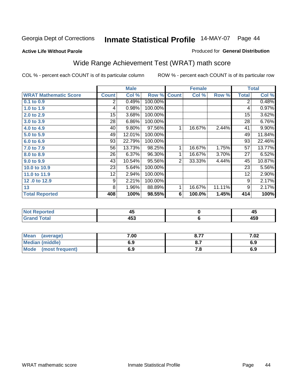**Active Life Without Parole** 

#### Produced for **General Distribution**

# Wide Range Achievement Test (WRAT) math score

|                              |              | <b>Male</b> |         |              | <b>Female</b> |        |              | <b>Total</b> |
|------------------------------|--------------|-------------|---------|--------------|---------------|--------|--------------|--------------|
| <b>WRAT Mathematic Score</b> | <b>Count</b> | Col %       | Row %   | <b>Count</b> | Col %         | Row %  | <b>Total</b> | Col %        |
| 0.1 to 0.9                   | 2            | 0.49%       | 100.00% |              |               |        | 2            | 0.48%        |
| 1.0 to 1.9                   | 4            | 0.98%       | 100.00% |              |               |        | 4            | 0.97%        |
| 2.0 to 2.9                   | 15           | 3.68%       | 100.00% |              |               |        | 15           | 3.62%        |
| 3.0 to 3.9                   | 28           | 6.86%       | 100.00% |              |               |        | 28           | 6.76%        |
| 4.0 to 4.9                   | 40           | 9.80%       | 97.56%  | 1            | 16.67%        | 2.44%  | 41           | 9.90%        |
| 5.0 to 5.9                   | 49           | 12.01%      | 100.00% |              |               |        | 49           | 11.84%       |
| 6.0 to 6.9                   | 93           | 22.79%      | 100.00% |              |               |        | 93           | 22.46%       |
| 7.0 to 7.9                   | 56           | 13.73%      | 98.25%  | 1            | 16.67%        | 1.75%  | 57           | 13.77%       |
| 8.0 to 8.9                   | 26           | 6.37%       | 96.30%  | 1            | 16.67%        | 3.70%  | 27           | 6.52%        |
| 9.0 to 9.9                   | 43           | 10.54%      | 95.56%  | 2            | 33.33%        | 4.44%  | 45           | 10.87%       |
| 10.0 to 10.9                 | 23           | 5.64%       | 100.00% |              |               |        | 23           | 5.56%        |
| 11.0 to 11.9                 | 12           | 2.94%       | 100.00% |              |               |        | 12           | 2.90%        |
| 12.0 to 12.9                 | 9            | 2.21%       | 100.00% |              |               |        | 9            | 2.17%        |
| 13                           | 8            | 1.96%       | 88.89%  | 1            | 16.67%        | 11.11% | 9            | 2.17%        |
| <b>Total Reported</b>        | 408          | 100%        | 98.55%  | 6            | 100.0%        | 1.45%  | 414          | 100%         |

| <b>Not Reported</b> | 47  | - -        |
|---------------------|-----|------------|
| <b>Grand Total</b>  | 453 | 15C<br>433 |

| <b>Mean</b><br>(average) | 7.00 | o 77<br>O.1                   | 7.02 |
|--------------------------|------|-------------------------------|------|
| <b>Median (middle)</b>   | 6.9  | $\mathbf{o} \cdot \mathbf{v}$ | 6.9  |
| Mode<br>(most frequent)  | 6.9  | . о                           | 6.9  |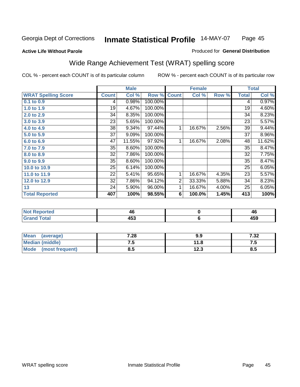#### **Active Life Without Parole**

#### Produced for **General Distribution**

# Wide Range Achievement Test (WRAT) spelling score

|                            |              | <b>Male</b> |         |                | <b>Female</b> |       |              | <b>Total</b> |
|----------------------------|--------------|-------------|---------|----------------|---------------|-------|--------------|--------------|
| <b>WRAT Spelling Score</b> | <b>Count</b> | Col %       | Row %   | <b>Count</b>   | Col %         | Row % | <b>Total</b> | Col %        |
| 0.1 to 0.9                 | 4            | 0.98%       | 100.00% |                |               |       | 4            | 0.97%        |
| 1.0 to 1.9                 | 19           | 4.67%       | 100.00% |                |               |       | 19           | 4.60%        |
| 2.0 to 2.9                 | 34           | 8.35%       | 100.00% |                |               |       | 34           | 8.23%        |
| 3.0 to 3.9                 | 23           | 5.65%       | 100.00% |                |               |       | 23           | 5.57%        |
| 4.0 to 4.9                 | 38           | 9.34%       | 97.44%  | 1              | 16.67%        | 2.56% | 39           | 9.44%        |
| 5.0 to 5.9                 | 37           | 9.09%       | 100.00% |                |               |       | 37           | 8.96%        |
| 6.0 to 6.9                 | 47           | 11.55%      | 97.92%  | 1              | 16.67%        | 2.08% | 48           | 11.62%       |
| 7.0 to 7.9                 | 35           | 8.60%       | 100.00% |                |               |       | 35           | 8.47%        |
| 8.0 to 8.9                 | 32           | 7.86%       | 100.00% |                |               |       | 32           | 7.75%        |
| 9.0 to 9.9                 | 35           | 8.60%       | 100.00% |                |               |       | 35           | 8.47%        |
| 10.0 to 10.9               | 25           | 6.14%       | 100.00% |                |               |       | 25           | 6.05%        |
| 11.0 to 11.9               | 22           | 5.41%       | 95.65%  | 1              | 16.67%        | 4.35% | 23           | 5.57%        |
| 12.0 to 12.9               | 32           | 7.86%       | 94.12%  | $\overline{2}$ | 33.33%        | 5.88% | 34           | 8.23%        |
| 13                         | 24           | 5.90%       | 96.00%  | 1              | 16.67%        | 4.00% | 25           | 6.05%        |
| <b>Total Reported</b>      | 407          | 100%        | 98.55%  | 6              | 100.0%        | 1.45% | 413          | 100%         |
|                            |              |             |         |                |               |       |              |              |
|                            |              |             |         |                |               |       |              |              |

| <b>Not Reported</b> | 46  | тv           |
|---------------------|-----|--------------|
| <b>Grand Total</b>  | 453 | 1 F.C<br>433 |

| <b>Mean</b><br>(average) | 7.28 | 9.9          | י ל<br>∡د. ∶ |
|--------------------------|------|--------------|--------------|
| <b>Median (middle)</b>   | ⊶י   | 11.8         | ں. ر         |
| Mode<br>(most frequent)  | ၓ.Ե  | 1つ ?<br>12.J | О<br>o. J    |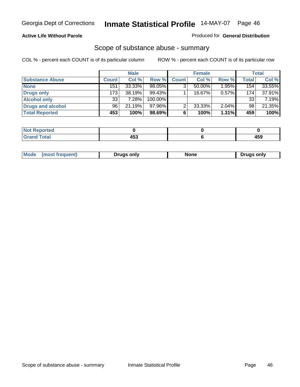#### **Active Life Without Parole**

#### Produced for **General Distribution**

### Scope of substance abuse - summary

|                        |              | <b>Male</b> |            |              | <b>Female</b> |          |                  | <b>Total</b> |
|------------------------|--------------|-------------|------------|--------------|---------------|----------|------------------|--------------|
| <b>Substance Abuse</b> | <b>Count</b> | Col %       | Row %      | <b>Count</b> | Col %         | Row %    | <b>Total</b>     | Col %        |
| <b>None</b>            | 151          | 33.33%      | 98.05%     | ◠            | $50.00\%$     | 1.95%    | 154 <sub>1</sub> | 33.55%       |
| Drugs only             | 173          | 38.19%      | $99.43\%$  |              | 16.67%        | 0.57%    | 174 <sub>1</sub> | 37.91%       |
| <b>Alcohol only</b>    | 33           | 7.28%       | $100.00\%$ |              |               |          | 33               | 7.19%        |
| Drugs and alcohol      | 96           | 21.19%      | 97.96%I    | ◠            | 33.33%        | $2.04\%$ | 98               | 21.35%       |
| <b>Total Reported</b>  | 453          | 100%        | 98.69%     | 6            | 100%          | 1.31%    | 459              | 100%         |

| Reported<br>$\sim$     |   |                        |
|------------------------|---|------------------------|
| <b>Total</b><br>$\sim$ | . | A E C<br>マソン<br>$\sim$ |

|  | Mode<br>treoillent<br>most | Drugs only | None | only<br>Druas. |
|--|----------------------------|------------|------|----------------|
|--|----------------------------|------------|------|----------------|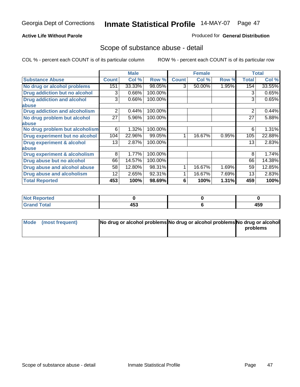### **Active Life Without Parole**

#### Produced for **General Distribution**

### Scope of substance abuse - detail

|                                         |              | <b>Male</b> |         |              | <b>Female</b> |       |              | <b>Total</b> |
|-----------------------------------------|--------------|-------------|---------|--------------|---------------|-------|--------------|--------------|
| <b>Substance Abuse</b>                  | <b>Count</b> | Col %       | Row %   | <b>Count</b> | Col %         | Row % | <b>Total</b> | Col %        |
| No drug or alcohol problems             | 151          | 33.33%      | 98.05%  | 3            | 50.00%        | 1.95% | 154          | 33.55%       |
| Drug addiction but no alcohol           | 3            | 0.66%       | 100.00% |              |               |       | 3            | 0.65%        |
| <b>Drug addiction and alcohol</b>       | 3            | 0.66%       | 100.00% |              |               |       | 3            | 0.65%        |
| abuse                                   |              |             |         |              |               |       |              |              |
| <b>Drug addiction and alcoholism</b>    | 2            | 0.44%       | 100.00% |              |               |       | 2            | 0.44%        |
| No drug problem but alcohol             | 27           | 5.96%       | 100.00% |              |               |       | 27           | 5.88%        |
| abuse                                   |              |             |         |              |               |       |              |              |
| No drug problem but alcoholism          | 6            | 1.32%       | 100.00% |              |               |       | 6            | 1.31%        |
| Drug experiment but no alcohol          | 104          | 22.96%      | 99.05%  |              | 16.67%        | 0.95% | 105          | 22.88%       |
| <b>Drug experiment &amp; alcohol</b>    | 13           | 2.87%       | 100.00% |              |               |       | 13           | 2.83%        |
| abuse                                   |              |             |         |              |               |       |              |              |
| <b>Drug experiment &amp; alcoholism</b> | 8            | 1.77%       | 100.00% |              |               |       | 8            | 1.74%        |
| Drug abuse but no alcohol               | 66           | 14.57%      | 100.00% |              |               |       | 66           | 14.38%       |
| Drug abuse and alcohol abuse            | 58           | 12.80%      | 98.31%  |              | 16.67%        | 1.69% | 59           | 12.85%       |
| Drug abuse and alcoholism               | 12           | 2.65%       | 92.31%  |              | 16.67%        | 7.69% | 13           | 2.83%        |
| <b>Total Reported</b>                   | 453          | 100%        | 98.69%  | 6            | 100%          | 1.31% | 459          | 100%         |

| <b>Not Reported</b> |     |     |
|---------------------|-----|-----|
| <b>Grand Total</b>  | 453 | 459 |

| Mode (most frequent) | No drug or alcohol problems No drug or alcohol problems No drug or alcohol |          |
|----------------------|----------------------------------------------------------------------------|----------|
|                      |                                                                            | problems |
|                      |                                                                            |          |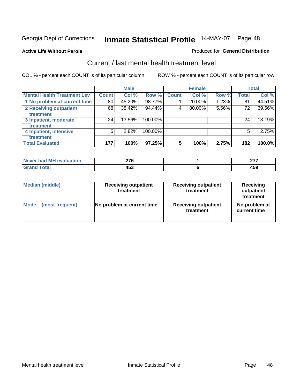**Active Life Without Parole** 

#### Produced for **General Distribution**

### Current / last mental health treatment level

|                                    |              | <b>Male</b> |         |              | <b>Female</b> |       |              | <b>Total</b> |
|------------------------------------|--------------|-------------|---------|--------------|---------------|-------|--------------|--------------|
| <b>Mental Health Treatment Lev</b> | <b>Count</b> | Col %       | Row %   | <b>Count</b> | Col %         | Row % | <b>Total</b> | Col %        |
| 1 No problem at current time       | 80           | 45.20%      | 98.77%  |              | 20.00%        | 1.23% | 81           | 44.51%       |
| 2 Receiving outpatient             | 68           | 38.42%      | 94.44%  | 4            | 80.00%        | 5.56% | 72           | 39.56%       |
| treatment                          |              |             |         |              |               |       |              |              |
| 3 Inpatient, moderate              | 24           | 13.56%      | 100.00% |              |               |       | 24           | 13.19%       |
| treatment                          |              |             |         |              |               |       |              |              |
| 4 Inpatient, intensive             | 5            | 2.82%       | 100.00% |              |               |       | 5            | 2.75%        |
| treatment                          |              |             |         |              |               |       |              |              |
| <b>Total Evaluated</b>             | 177          | 100%        | 97.25%  | 5            | 100%          | 2.75% | 182          | 100.0%       |

| Never had MH evaluation | מדה | $\sim$ $-$ |
|-------------------------|-----|------------|
| Total                   | にっ  | 1 E N      |
| Gran.                   | 433 | 473        |

| <b>Median (middle)</b> | <b>Receiving outpatient</b><br>treatment | <b>Receiving outpatient</b><br>treatment | <b>Receiving</b><br>outpatient<br>treatment |  |  |
|------------------------|------------------------------------------|------------------------------------------|---------------------------------------------|--|--|
| <b>Mode</b>            | No problem at current time               | <b>Receiving outpatient</b>              | No problem at                               |  |  |
| (most frequent)        |                                          | treatment                                | current time                                |  |  |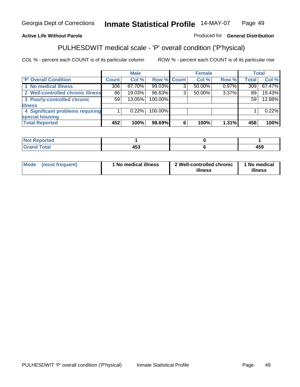### **Active Life Without Parole**

### Produced for **General Distribution**

# PULHESDWIT medical scale - 'P' overall condition ('P'hysical)

|                                   |         | <b>Male</b> |             |   | <b>Female</b> |          |              | <b>Total</b> |
|-----------------------------------|---------|-------------|-------------|---|---------------|----------|--------------|--------------|
| 'P' Overall Condition             | Count l | Col %       | Row % Count |   | Col %         | Row %    | <b>Total</b> | Col %        |
| 1 No medical illness              | 306     | 67.70%      | 99.03%      | ົ | 50.00%        | 0.97%    | 309          | 67.47%       |
| 2 Well-controlled chronic illness | 86      | 19.03%      | 96.63%      | 3 | 50.00%        | 3.37%    | 89           | 19.43%       |
| 3 Poorly-controlled chronic       | 59      | 13.05%      | 100.00%     |   |               |          | 59           | 12.88%       |
| <b>illness</b>                    |         |             |             |   |               |          |              |              |
| 4 Significant problems requiring  |         | 0.22%       | 100.00%     |   |               |          |              | 0.22%        |
| special housing                   |         |             |             |   |               |          |              |              |
| <b>Total Reported</b>             | 452     | 100%        | 98.69%      |   | 100%          | $1.31\%$ | 458          | 100%         |

| Not Reported               |             |     |
|----------------------------|-------------|-----|
| <b>otal</b><br><b>C</b> re | 1 P A<br>-- | 459 |

| <b>Mode</b> | (most frequent) | ' No medical illness | 2 Well-controlled chronic<br>illness | 1 No medical<br>illness |
|-------------|-----------------|----------------------|--------------------------------------|-------------------------|
|-------------|-----------------|----------------------|--------------------------------------|-------------------------|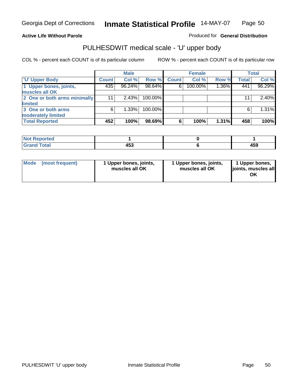### **Active Life Without Parole**

Produced for **General Distribution**

# PULHESDWIT medical scale - 'U' upper body

|                              | <b>Male</b>  |        |         | <b>Female</b> |         |       | <b>Total</b> |          |
|------------------------------|--------------|--------|---------|---------------|---------|-------|--------------|----------|
| <b>TU' Upper Body</b>        | <b>Count</b> | Col %  | Row %   | <b>Count</b>  | Col %   | Row % | <b>Total</b> | Col %    |
| 1 Upper bones, joints,       | 435          | 96.24% | 98.64%  | 6             | 100.00% | 1.36% | 441          | 96.29%   |
| muscles all OK               |              |        |         |               |         |       |              |          |
| 2 One or both arms minimally | 11           | 2.43%  | 100.00% |               |         |       | 11           | $2.40\%$ |
| limited                      |              |        |         |               |         |       |              |          |
| 3 One or both arms           | 6            | 1.33%  | 100.00% |               |         |       | 6            | 1.31%    |
| moderately limited           |              |        |         |               |         |       |              |          |
| <b>Total Reported</b>        | 452          | 100%   | 98.69%  | 6             | 100%    | 1.31% | 458          | 100%     |

| المستعلمات<br><b>Reported</b><br><b>NOT</b><br>. |                             |                |
|--------------------------------------------------|-----------------------------|----------------|
| <b>Cotal</b><br>_____                            | $\mathbf{A}$<br>ניט<br>$ -$ | .<br>᠇୰୰<br>__ |

| Mode | (most frequent) | 1 Upper bones, joints,<br>muscles all OK | 1 Upper bones, joints,<br>muscles all OK | 1 Upper bones,<br>joints, muscles all<br>ΟK |
|------|-----------------|------------------------------------------|------------------------------------------|---------------------------------------------|
|------|-----------------|------------------------------------------|------------------------------------------|---------------------------------------------|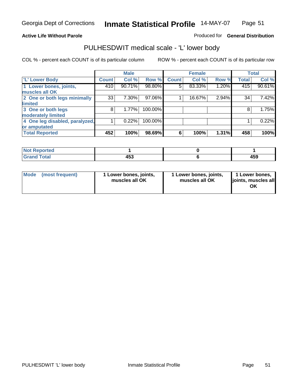#### **Active Life Without Parole**

#### Produced for **General Distribution**

### PULHESDWIT medical scale - 'L' lower body

|                                | <b>Male</b>  |        | <b>Female</b> |              |        | <b>Total</b> |              |        |
|--------------------------------|--------------|--------|---------------|--------------|--------|--------------|--------------|--------|
| 'L' Lower Body                 | <b>Count</b> | Col %  | Row %         | <b>Count</b> | Col %  | Row %        | <b>Total</b> | Col %  |
| 1 Lower bones, joints,         | 410          | 90.71% | 98.80%        | 5            | 83.33% | 1.20%        | 415          | 90.61% |
| muscles all OK                 |              |        |               |              |        |              |              |        |
| 2 One or both legs minimally   | 33           | 7.30%  | 97.06%        |              | 16.67% | 2.94%        | 34           | 7.42%  |
| limited                        |              |        |               |              |        |              |              |        |
| 3 One or both legs             | 8            | 1.77%  | 100.00%       |              |        |              | 8            | 1.75%  |
| moderately limited             |              |        |               |              |        |              |              |        |
| 4 One leg disabled, paralyzed, |              | 0.22%  | 100.00%       |              |        |              |              | 0.22%  |
| or amputated                   |              |        |               |              |        |              |              |        |
| <b>Total Reported</b>          | 452          | 100%   | 98.69%        | 6            | 100%   | 1.31%        | 458          | 100%   |

| <b>Entrancement</b><br>N              |                      |     |
|---------------------------------------|----------------------|-----|
| $f \wedge f \wedge f'$<br>ι υιαι<br>. | $AE^{\prime}$<br>נים | 459 |

|  | Mode (most frequent) | 1 Lower bones, joints,<br>muscles all OK | 1 Lower bones, joints,<br>muscles all OK | 1 Lower bones,<br>joints, muscles all<br>OK |
|--|----------------------|------------------------------------------|------------------------------------------|---------------------------------------------|
|--|----------------------|------------------------------------------|------------------------------------------|---------------------------------------------|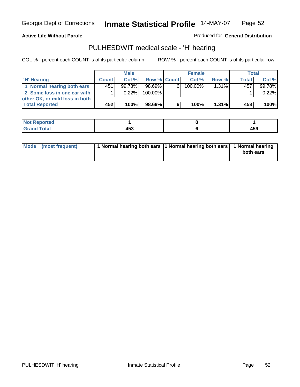**Active Life Without Parole** 

Produced for **General Distribution**

### PULHESDWIT medical scale - 'H' hearing

|                                | <b>Male</b>  |           |             | <b>Female</b> |         |          | <b>Total</b> |        |
|--------------------------------|--------------|-----------|-------------|---------------|---------|----------|--------------|--------|
| 'H' Hearing                    | <b>Count</b> | Col%      | Row % Count |               | Col%    | Row %    | Total        | Col %  |
| 1 Normal hearing both ears     | 451          | $99.78\%$ | 98.69%      | 6.            | 100.00% | $1.31\%$ | 457          | 99.78% |
| 2 Some loss in one ear with    |              | $0.22\%$  | 100.00%     |               |         |          |              | 0.22%  |
| other OK, or mild loss in both |              |           |             |               |         |          |              |        |
| <b>Total Reported</b>          | 452          | 100%      | 98.69%      |               | 100%    | 1.31%    | 458          | 100%   |

| <b>Not</b><br>$\gamma$ rted<br>$\sim$ |        |     |
|---------------------------------------|--------|-----|
| <b>c</b> otal<br>______               | .<br>™ | 459 |

| 1 Normal hearing both ears 1 Normal hearing both ears 1 Normal hearing<br>Mode (most frequent)<br>both ears |
|-------------------------------------------------------------------------------------------------------------|
|-------------------------------------------------------------------------------------------------------------|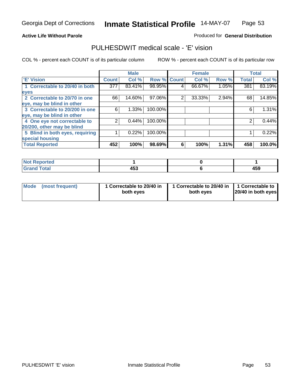#### **Active Life Without Parole**

#### Produced for **General Distribution**

### PULHESDWIT medical scale - 'E' vision

|                                 |              | <b>Male</b> |                    | <b>Female</b> |        |       | <b>Total</b> |        |
|---------------------------------|--------------|-------------|--------------------|---------------|--------|-------|--------------|--------|
| <b>E' Vision</b>                | <b>Count</b> | Col %       | <b>Row % Count</b> |               | Col %  | Row % | <b>Total</b> | Col %  |
| 1 Correctable to 20/40 in both  | 377          | 83.41%      | 98.95%             | 4             | 66.67% | 1.05% | 381          | 83.19% |
| eyes                            |              |             |                    |               |        |       |              |        |
| 2 Correctable to 20/70 in one   | 66           | 14.60%      | 97.06%             | 2             | 33.33% | 2.94% | 68           | 14.85% |
| eye, may be blind in other      |              |             |                    |               |        |       |              |        |
| 3 Correctable to 20/200 in one  | 6            | 1.33%       | 100.00%            |               |        |       | 6            | 1.31%  |
| eye, may be blind in other      |              |             |                    |               |        |       |              |        |
| 4 One eye not correctable to    | າ            | 0.44%       | 100.00%            |               |        |       | 2            | 0.44%  |
| 20/200, other may be blind      |              |             |                    |               |        |       |              |        |
| 5 Blind in both eyes, requiring |              | 0.22%       | 100.00%            |               |        |       |              | 0.22%  |
| special housing                 |              |             |                    |               |        |       |              |        |
| <b>Total Reported</b>           | 452          | 100%        | 98.69%             | 6             | 100%   | 1.31% | 458          | 100.0% |

| <b>Not Reported</b> |              |     |
|---------------------|--------------|-----|
| <b>Total</b><br>Grs | 1 E 9<br>433 | 459 |

| Mode | (most frequent) | 1 Correctable to 20/40 in<br>both eves | 1 Correctable to 20/40 in   1 Correctable to<br>both eves | 20/40 in both eyes |
|------|-----------------|----------------------------------------|-----------------------------------------------------------|--------------------|
|------|-----------------|----------------------------------------|-----------------------------------------------------------|--------------------|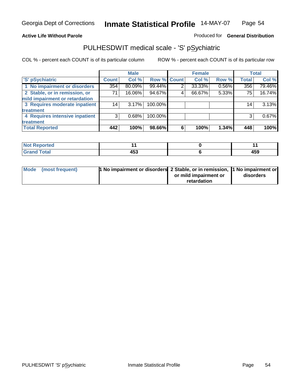### **Active Life Without Parole**

### Produced for **General Distribution**

### PULHESDWIT medical scale - 'S' pSychiatric

|                                |              | <b>Male</b> |             |   | <b>Female</b> |       |              | <b>Total</b> |
|--------------------------------|--------------|-------------|-------------|---|---------------|-------|--------------|--------------|
| 'S' pSychiatric                | <b>Count</b> | Col %       | Row % Count |   | Col %         | Row % | <b>Total</b> | Col %        |
| 1 No impairment or disorders   | 354          | 80.09%      | 99.44%      | 2 | 33.33%        | 0.56% | 356          | 79.46%       |
| 2 Stable, or in remission, or  | 71           | 16.06%      | 94.67%      | 4 | 66.67%        | 5.33% | 75           | 16.74%       |
| mild impairment or retardation |              |             |             |   |               |       |              |              |
| 3 Requires moderate inpatient  | 14           | 3.17%       | 100.00%     |   |               |       | 14           | 3.13%        |
| treatment                      |              |             |             |   |               |       |              |              |
| 4 Requires intensive inpatient | 3            | 0.68%       | 100.00%     |   |               |       |              | 0.67%        |
| treatment                      |              |             |             |   |               |       |              |              |
| <b>Total Reported</b>          | 442          | 100%        | 98.66%      | 6 | 100%          | 1.34% | 448          | 100%         |

| orted        |                            |              |
|--------------|----------------------------|--------------|
| <b>Total</b> | $\sim$ $\sim$<br>,,<br>400 | 1 F.C<br>402 |

| Mode (most frequent) | 1 No impairment or disorders 2 Stable, or in remission, 11 No impairment or |                       |           |
|----------------------|-----------------------------------------------------------------------------|-----------------------|-----------|
|                      |                                                                             | or mild impairment or | disorders |
|                      |                                                                             | retardation           |           |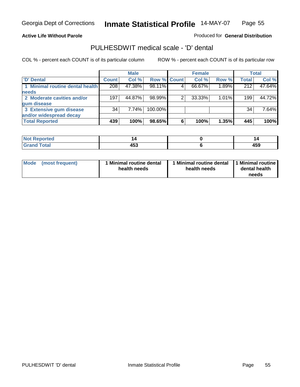#### **Active Life Without Parole**

Produced for **General Distribution**

### PULHESDWIT medical scale - 'D' dental

|                                 |              | <b>Male</b> |             |   | <b>Female</b> |       |              | <b>Total</b> |
|---------------------------------|--------------|-------------|-------------|---|---------------|-------|--------------|--------------|
| <b>D' Dental</b>                | <b>Count</b> | Col %       | Row % Count |   | Col %         | Row % | <b>Total</b> | Col %        |
| 1 Minimal routine dental health | 208          | 47.38%      | 98.11%      |   | 66.67%        | 1.89% | 212          | 47.64%       |
| needs                           |              |             |             |   |               |       |              |              |
| 2 Moderate cavities and/or      | 197          | 44.87%      | 98.99%      |   | 33.33%        | 1.01% | 199          | 44.72%       |
| gum disease                     |              |             |             |   |               |       |              |              |
| 3 Extensive gum disease         | 34           | 7.74%       | 100.00%     |   |               |       | 34           | 7.64%        |
| and/or widespread decay         |              |             |             |   |               |       |              |              |
| <b>Total Reported</b>           | 439          | 100%        | 98.65%      | 6 | 100%          | 1.35% | 445          | 100%         |

| N<br>тео          |                                      | P                  |
|-------------------|--------------------------------------|--------------------|
| $\cdots$ $\cdots$ | $\overline{ }$<br>л қ<br>433<br>$ -$ | 1 C C<br>700<br>__ |

| Mode (most frequent) | <b>Minimal routine dental</b><br>health needs | 1 Minimal routine dental<br>health needs | 1 Minimal routine<br>dental health<br>needs |
|----------------------|-----------------------------------------------|------------------------------------------|---------------------------------------------|
|----------------------|-----------------------------------------------|------------------------------------------|---------------------------------------------|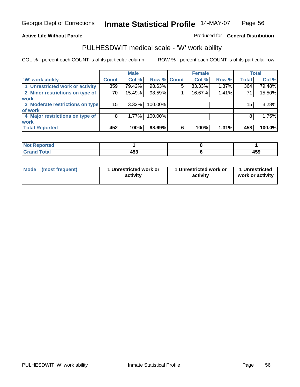### **Active Life Without Parole**

### Produced for **General Distribution**

### PULHESDWIT medical scale - 'W' work ability

|                                 |              | <b>Male</b> |             |   | <b>Female</b> |       |              | <b>Total</b> |
|---------------------------------|--------------|-------------|-------------|---|---------------|-------|--------------|--------------|
| <b>W' work ability</b>          | <b>Count</b> | Col %       | Row % Count |   | Col %         | Row % | <b>Total</b> | Col %        |
| 1 Unrestricted work or activity | 359          | 79.42%      | 98.63%      | 5 | 83.33%        | 1.37% | 364          | 79.48%       |
| 2 Minor restrictions on type of | 70           | 15.49%      | 98.59%      |   | 16.67%        | 1.41% | 71           | 15.50%       |
| <b>work</b>                     |              |             |             |   |               |       |              |              |
| 3 Moderate restrictions on type | 15           | $3.32\%$    | 100.00%     |   |               |       | 15           | 3.28%        |
| of work                         |              |             |             |   |               |       |              |              |
| 4 Major restrictions on type of | 8'           | 1.77%       | 100.00%     |   |               |       | 8            | 1.75%        |
| <b>work</b>                     |              |             |             |   |               |       |              |              |
| <b>Total Reported</b>           | 452          | 100%        | 98.69%      | 6 | 100%          | 1.31% | 458          | 100.0%       |

| <b>Not Reported</b> |     |     |
|---------------------|-----|-----|
| Total               | .   | AEC |
| Gra                 | 405 | 433 |

| Mode | (most frequent) | 1 Unrestricted work or<br>activity | 1 Unrestricted work or<br>activity | 1 Unrestricted<br>work or activity |
|------|-----------------|------------------------------------|------------------------------------|------------------------------------|
|      |                 |                                    |                                    |                                    |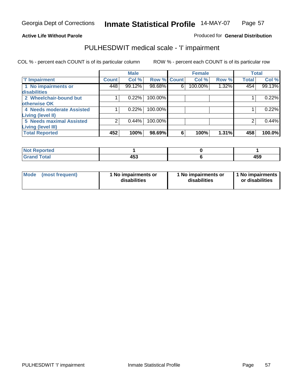#### **Active Life Without Parole**

### Produced for **General Distribution**

### PULHESDWIT medical scale - 'I' impairment

|                                 |              | <b>Male</b> |                    |   | <b>Female</b> |       | <b>Total</b> |        |
|---------------------------------|--------------|-------------|--------------------|---|---------------|-------|--------------|--------|
| <b>T' Impairment</b>            | <b>Count</b> | Col %       | <b>Row % Count</b> |   | Col %         | Row % | <b>Total</b> | Col %  |
| 1 No impairments or             | 448          | 99.12%      | 98.68%             | 6 | 100.00%       | 1.32% | 454          | 99.13% |
| <b>disabilities</b>             |              |             |                    |   |               |       |              |        |
| 2 Wheelchair-bound but          |              | 0.22%       | 100.00%            |   |               |       |              | 0.22%  |
| otherwise OK                    |              |             |                    |   |               |       |              |        |
| 4 Needs moderate Assisted       |              | 0.22%       | 100.00%            |   |               |       |              | 0.22%  |
| <b>Living (level II)</b>        |              |             |                    |   |               |       |              |        |
| <b>5 Needs maximal Assisted</b> |              | 0.44%       | 100.00%            |   |               |       |              | 0.44%  |
| <b>Living (level III)</b>       |              |             |                    |   |               |       |              |        |
| <b>Total Reported</b>           | 452          | 100%        | 98.69%             | 6 | 100%          | 1.31% | 458          | 100.0% |

| Reported                    |     |            |
|-----------------------------|-----|------------|
| <b>Total</b><br><b>Gran</b> | 453 | AEA<br>433 |

| <b>Mode</b> | (most frequent) | 1 No impairments or<br>disabilities | 1 No impairments or<br>disabilities | 1 No impairments  <br>or disabilities |
|-------------|-----------------|-------------------------------------|-------------------------------------|---------------------------------------|
|-------------|-----------------|-------------------------------------|-------------------------------------|---------------------------------------|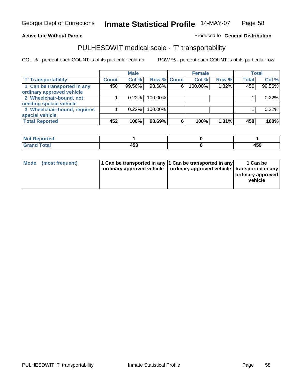#### **Inmate Statistical Profile** 14-MAY-07 Page Page 58

### **Active Life Without Parole Produced fo Seneral Distribution**

### PULHESDWIT medical scale - 'T' transportability

|                              |              | <b>Male</b> |             |   | <b>Female</b> |       |              | <b>Total</b> |
|------------------------------|--------------|-------------|-------------|---|---------------|-------|--------------|--------------|
| <b>T' Transportability</b>   | <b>Count</b> | Col %       | Row % Count |   | Col %         | Row % | <b>Total</b> | Col %        |
| 1 Can be transported in any  | 450          | 99.56%      | 98.68%      | 6 | 100.00%       | 1.32% | 456          | 99.56%       |
| ordinary approved vehicle    |              |             |             |   |               |       |              |              |
| 2 Wheelchair-bound, not      |              | 0.22%       | 100.00%     |   |               |       |              | 0.22%        |
| needing special vehicle      |              |             |             |   |               |       |              |              |
| 3 Wheelchair-bound, requires |              | 0.22%       | 100.00%     |   |               |       |              | 0.22%        |
| special vehicle              |              |             |             |   |               |       |              |              |
| <b>Total Reported</b>        | 452          | 100%        | 98.69%      | 6 | 100%          | 1.31% | 458          | 100%         |

| $^{\dagger}$ Nor<br><b>Reported</b> |            |     |
|-------------------------------------|------------|-----|
| <b>Total</b>                        | .          | .   |
| --                                  | <b>. .</b> | ーつこ |

| Mode (most frequent) | 1 Can be transported in any 1 Can be transported in any | ordinary approved vehicle   ordinary approved vehicle   transported in any | 1 Can be<br>  ordinary approved  <br>vehicle |
|----------------------|---------------------------------------------------------|----------------------------------------------------------------------------|----------------------------------------------|
|----------------------|---------------------------------------------------------|----------------------------------------------------------------------------|----------------------------------------------|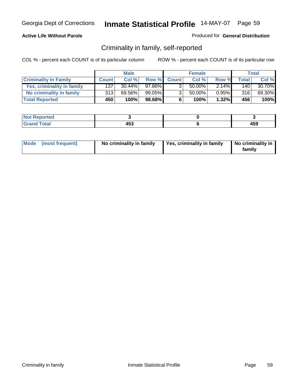### **Active Life Without Parole**

#### Produced for **General Distribution**

### Criminality in family, self-reported

|                              | <b>Male</b>      |           | <b>Female</b> |                |        | Total    |              |        |
|------------------------------|------------------|-----------|---------------|----------------|--------|----------|--------------|--------|
| <b>Criminality In Family</b> | <b>Count</b>     | Col %     | Row %         | <b>Count</b>   | Col %  | Row %    | <b>Total</b> | Col %  |
| Yes, criminality in family   | 137              | $30.44\%$ | 97.86%        | 3              | 50.00% | $2.14\%$ | 140          | 30.70% |
| No criminality in family     | 313              | 69.56%    | 99.05%        | 3 <sub>1</sub> | 50.00% | $0.95\%$ | 316          | 69.30% |
| <b>Total Reported</b>        | 450 <sup>'</sup> | 100%      | 98.68%        | 6              | 100%   | $1.32\%$ | 456          | 100%   |

| ported<br><b>NOT</b><br>- IVAN |              |     |
|--------------------------------|--------------|-----|
| $\sim$<br>Grar<br>---          | 1 P A<br>נינ | 459 |

| Mode (most frequent) |  | No criminality in family | Yes, criminality in family | No criminality in<br>family |
|----------------------|--|--------------------------|----------------------------|-----------------------------|
|----------------------|--|--------------------------|----------------------------|-----------------------------|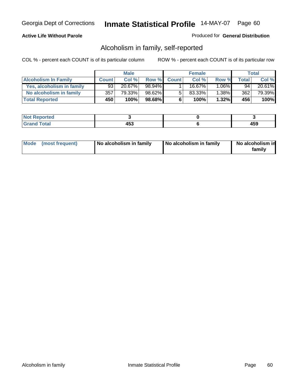#### **Active Life Without Parole**

#### Produced for **General Distribution**

### Alcoholism in family, self-reported

|                             | <b>Male</b>  |           | <b>Female</b> |              |        | Total    |       |        |
|-----------------------------|--------------|-----------|---------------|--------------|--------|----------|-------|--------|
| <b>Alcoholism In Family</b> | <b>Count</b> | Col %     | Row %         | <b>Count</b> | Col %  | Row %    | Total | Col %  |
| Yes, alcoholism in family   | 93           | $20.67\%$ | 98.94%        |              | 16.67% | $1.06\%$ | 94    | 20.61% |
| No alcoholism in family     | 357          | 79.33%    | 98.62%        |              | 83.33% | $1.38\%$ | 362   | 79.39% |
| <b>Total Reported</b>       | 450          | 100%      | 98.68%        | 6            | 100%   | $1.32\%$ | 456   | 100%   |

| oorted<br><b>NOT</b><br><b>IJCI</b> |             |              |
|-------------------------------------|-------------|--------------|
| Total<br>Gran<br>---                | 1 P A<br>יט | 1 E N<br>᠇୰୰ |

|  | Mode (most frequent) | No alcoholism in family | No alcoholism in family | No alcoholism in<br>familv |
|--|----------------------|-------------------------|-------------------------|----------------------------|
|--|----------------------|-------------------------|-------------------------|----------------------------|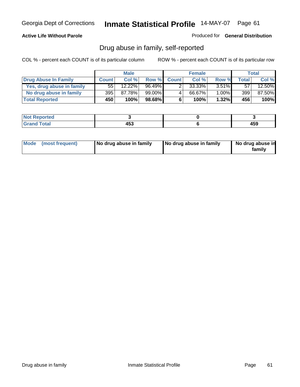### **Active Life Without Parole**

Produced for **General Distribution**

### Drug abuse in family, self-reported

|                           | <b>Male</b>  |        | <b>Female</b> |              |        | Total    |       |        |
|---------------------------|--------------|--------|---------------|--------------|--------|----------|-------|--------|
| Drug Abuse In Family      | <b>Count</b> | Col %  | Row %         | <b>Count</b> | Col %  | Row %    | Total | Col %  |
| Yes, drug abuse in family | 55           | 12.22% | 96.49%        |              | 33.33% | $3.51\%$ | 57    | 12.50% |
| No drug abuse in family   | 395          | 87.78% | $99.00\%$     | 4            | 66.67% | $.00\%$  | 399   | 87.50% |
| <b>Total Reported</b>     | 450          | 100%   | 98.68%        | 6            | 100%   | $1.32\%$ | 456   | 100%   |

| <b>Not</b><br>oorted<br><b>IVGI</b> |          |             |
|-------------------------------------|----------|-------------|
| $\sim$<br>Gran<br>---               | .<br>400 | . רי<br>403 |

|  | Mode (most frequent) | No drug abuse in family | No drug abuse in family | No drug abuse in<br>family |
|--|----------------------|-------------------------|-------------------------|----------------------------|
|--|----------------------|-------------------------|-------------------------|----------------------------|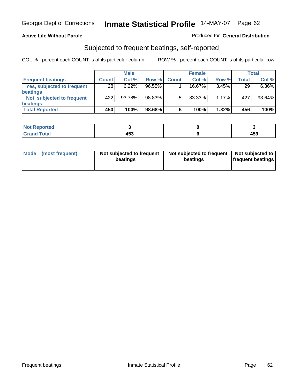#### **Active Life Without Parole**

#### Produced for **General Distribution**

### Subjected to frequent beatings, self-reported

|                            | <b>Male</b>  |          |           | <b>Female</b> |           |       | Total        |        |
|----------------------------|--------------|----------|-----------|---------------|-----------|-------|--------------|--------|
| <b>Frequent beatings</b>   | <b>Count</b> | Col%     | Row %     | <b>Count</b>  | Col%      | Row % | <b>Total</b> | Col %  |
| Yes, subjected to frequent | 28           | $6.22\%$ | $96.55\%$ |               | $16.67\%$ | 3.45% | 29           | 6.36%  |
| <b>beatings</b>            |              |          |           |               |           |       |              |        |
| Not subjected to frequent  | 422          | 93.78%   | 98.83%    | 5             | 83.33%    | 1.17% | 427          | 93.64% |
| <b>beatings</b>            |              |          |           |               |           |       |              |        |
| <b>Total Reported</b>      | 450          | 100%     | 98.68%    | 6             | 100%      | 1.32% | 456          | 100%   |

| t Reported<br><b>NOT</b><br>.                |           |       |
|----------------------------------------------|-----------|-------|
| T <sub>ofol</sub><br>C <sub>ro</sub><br>υιαι | .<br>tJJ. | 1 E C |

| Mode<br>(most frequent) | beatings | Not subjected to frequent | Not subjected to frequent<br>beatings | Not subjected to<br><b>frequent beatings</b> |
|-------------------------|----------|---------------------------|---------------------------------------|----------------------------------------------|
|                         |          |                           |                                       |                                              |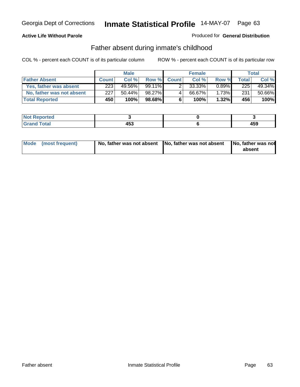#### **Active Life Without Parole**

#### Produced for **General Distribution**

### Father absent during inmate's childhood

|                           | <b>Male</b>  |         |                 | <b>Female</b> |        |          | Total |        |
|---------------------------|--------------|---------|-----------------|---------------|--------|----------|-------|--------|
| <b>Father Absent</b>      | <b>Count</b> | Col%    | Row %           | <b>Count</b>  | Col %  | Row %    | Total | Col %  |
| Yes, father was absent    | 223          | 49.56%  | 99.11% <b>I</b> |               | 33.33% | $0.89\%$ | 225   | 49.34% |
| No, father was not absent | 227          | 50.44%  | 98.27%          | 4             | 66.67% | $1.73\%$ | 231   | 50.66% |
| <b>Total Reported</b>     | 450'         | $100\%$ | $98.68\%$       | 6             | 100%   | $1.32\%$ | 456   | 100%   |

| <b>Not Reported</b>               |                    |     |
|-----------------------------------|--------------------|-----|
| <b>Total</b><br>Cran <sub>o</sub> | 1 P A<br>ניט<br>__ | 459 |

| Mode (most frequent) |  | 「No, father was not absent ┃No, father was not absent ┃No, father was not | absent |
|----------------------|--|---------------------------------------------------------------------------|--------|
|----------------------|--|---------------------------------------------------------------------------|--------|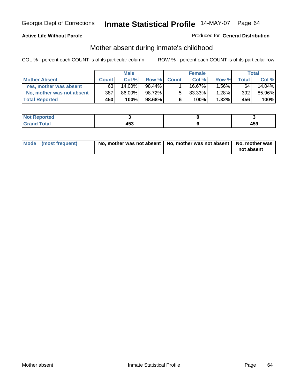#### **Active Life Without Parole**

#### Produced for **General Distribution**

# Mother absent during inmate's childhood

|                           | <b>Male</b>      |        |           | <b>Female</b> |        |          | Total |        |
|---------------------------|------------------|--------|-----------|---------------|--------|----------|-------|--------|
| <b>Mother Absent</b>      | <b>Count</b>     | Col %  | Row %     | <b>Count</b>  | Col%   | Row %    | Total | Col %  |
| Yes, mother was absent    | 63               | 14.00% | 98.44%    |               | 16.67% | $.56\%$  | 64    | 14.04% |
| No, mother was not absent | 387              | 86.00% | 98.72%    | 5             | 83.33% | $1.28\%$ | 392   | 85.96% |
| <b>Total Reported</b>     | 450 <sup>'</sup> | 100%   | $98.68\%$ | 6             | 100%   | $1.32\%$ | 456   | 100%   |

| المراجع بالقوم<br>ortea |                      |              |
|-------------------------|----------------------|--------------|
| Total<br>$\sim$         | 1 P A<br>נים<br>$ -$ | 1 E C<br>473 |

| Mode (most frequent) | No, mother was not absent   No, mother was not absent   No, mother was | not absent |
|----------------------|------------------------------------------------------------------------|------------|
|----------------------|------------------------------------------------------------------------|------------|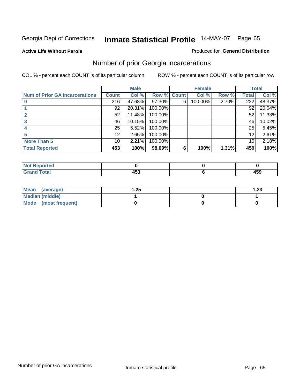**Active Life Without Parole** 

#### Produced for **General Distribution**

### Number of prior Georgia incarcerations

|                                |              | <b>Male</b> |                    |   | <b>Female</b> |       |                  | <b>Total</b> |
|--------------------------------|--------------|-------------|--------------------|---|---------------|-------|------------------|--------------|
| Num of Prior GA Incarcerations | <b>Count</b> | Col %       | <b>Row % Count</b> |   | Col %         | Row % | Total            | Col %        |
|                                | 216          | 47.68%      | 97.30%             | 6 | 100.00%       | 2.70% | $\overline{222}$ | 48.37%       |
|                                | 92           | 20.31%      | 100.00%            |   |               |       | 92               | 20.04%       |
|                                | 52           | 11.48%      | 100.00%            |   |               |       | 52               | 11.33%       |
|                                | 46           | 10.15%      | 100.00%            |   |               |       | 46               | 10.02%       |
|                                | 25           | 5.52%       | 100.00%            |   |               |       | 25               | 5.45%        |
|                                | 12           | 2.65%       | 100.00%            |   |               |       | 12               | 2.61%        |
| <b>More Than 5</b>             | 10           | 2.21%       | 100.00%            |   |               |       | 10               | 2.18%        |
| <b>Total Reported</b>          | 453          | 100%        | 98.69%             | 6 | 100%          | 1.31% | 459              | 100%         |

| Reported<br><b>NOT</b><br>$\sim$ |   |     |
|----------------------------------|---|-----|
| <b>Total</b>                     | . | 459 |

| Mean (average)       | 1.25 | 1.23 |
|----------------------|------|------|
| Median (middle)      |      |      |
| Mode (most frequent) |      |      |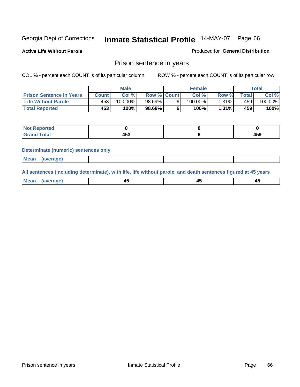**Active Life Without Parole** 

Produced for **General Distribution**

### Prison sentence in years

COL % - percent each COUNT is of its particular column ROW % - percent each COUNT is of its particular row

|                                 |        | Male       |                    | <b>Female</b> |       |             | Total   |
|---------------------------------|--------|------------|--------------------|---------------|-------|-------------|---------|
| <b>Prison Sentence In Years</b> | Count⊺ | Col %      | <b>Row % Count</b> | Col %         | Row % | $\tau$ otal | Col %   |
| <b>Life Without Parole</b>      | 453    | $100.00\%$ | 98.69%             | $100.00\%$    | 1.31% | 459         | 100.00% |
| <b>Total Reported</b>           | 453'   | 100%       | 98.69%             | 100%          | 1.31% | 459'        | 100%    |

| oorted<br><b>NOT</b><br>$\sim$ |     |       |
|--------------------------------|-----|-------|
| <b>ctal</b>                    | .   | 1 F A |
| $\sim$ .                       | 1JJ | 103   |

#### **Determinate (numeric) sentences only**

| <b>Mean</b> | (average) |  |  |
|-------------|-----------|--|--|

**All sentences (including determinate), with life, life without parole, and death sentences figured at 45 years**

| Me:<br>anei<br>.<br>᠇<br>$\sim$ | -- | т.<br>$\sim$ |
|---------------------------------|----|--------------|
|---------------------------------|----|--------------|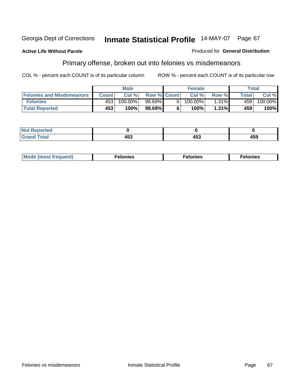#### **Active Life Without Parole**

#### Produced for **General Distribution**

# Primary offense, broken out into felonies vs misdemeanors

|                                  |              | <b>Male</b> |                    |    | <b>Female</b> |       |        | Total   |
|----------------------------------|--------------|-------------|--------------------|----|---------------|-------|--------|---------|
| <b>Felonies and Misdemeanors</b> | <b>Count</b> | Col%        | <b>Row % Count</b> |    | Col%          | Row % | Total. | Col %   |
| <b>Felonies</b>                  | 453          | 100.00%     | 98.69%             | 61 | 100.00%       | 1.31% | 459'   | 100.00% |
| <b>Total Reported</b>            | 453          | 100%        | 98.69%I            |    | 100%          | 1.31% | 459    | 100%    |

| <b>Not</b><br><b>orted</b><br>$\sim$             |                                |            |     |
|--------------------------------------------------|--------------------------------|------------|-----|
| $\mathcal{L}$ at all<br>Grar<br><b>UI 41 I 4</b> | $\overline{\phantom{a}}$<br>טי | ハドッ<br>10J | 459 |

| M<br>$\cdots$<br>пю.<br>. | nies<br>. | . |
|---------------------------|-----------|---|
|---------------------------|-----------|---|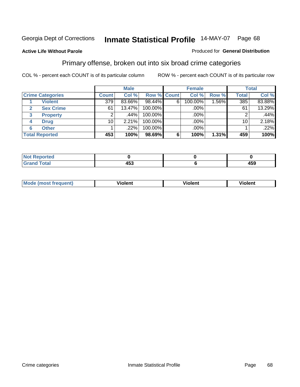#### **Active Life Without Parole**

#### Produced for **General Distribution**

### Primary offense, broken out into six broad crime categories

|                                 |              | <b>Male</b> |                    |   | <b>Female</b> |         |              | <b>Total</b> |
|---------------------------------|--------------|-------------|--------------------|---|---------------|---------|--------------|--------------|
| <b>Crime Categories</b>         | <b>Count</b> | Col %       | <b>Row % Count</b> |   | Col %         | Row %   | <b>Total</b> | Col %        |
| <b>Violent</b>                  | 379          | 83.66%      | 98.44%             | 6 | 100.00%       | $.56\%$ | 385          | 83.88%       |
| <b>Sex Crime</b>                | 61           | 13.47%      | 100.00%            |   | .00%          |         | 61           | 13.29%       |
| $\mathbf{3}$<br><b>Property</b> | 2            | .44%'       | 100.00%            |   | .00%          |         |              | .44%         |
| <b>Drug</b><br>4                | 10           | 2.21%       | 100.00%            |   | .00%          |         | 10           | 2.18%        |
| <b>Other</b><br>6               |              | .22%        | 100.00%            |   | .00%          |         |              | .22%         |
| <b>Total Reported</b>           | 453          | 100%        | 98.69%             | 6 | 100%          | 1.31%   | 459          | 100%         |

| <b>Reported</b><br>NOT<br>. |            |     |
|-----------------------------|------------|-----|
| <b>Total</b><br>CHOH        | ィにつ<br>ႷᲔᲐ | 459 |

| Mo | n n | winlor" | ılen' |
|----|-----|---------|-------|
|    |     |         |       |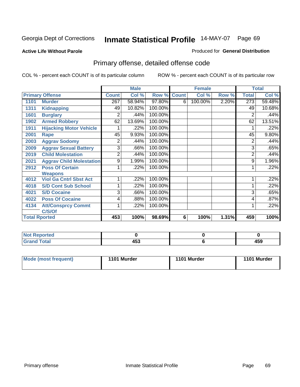#### **Active Life Without Parole**

#### Produced for **General Distribution**

# Primary offense, detailed offense code

|      |                                 |              | <b>Male</b> |         |              | <b>Female</b> |       |                | <b>Total</b> |
|------|---------------------------------|--------------|-------------|---------|--------------|---------------|-------|----------------|--------------|
|      | <b>Primary Offense</b>          | <b>Count</b> | Col %       | Row %   | <b>Count</b> | Col %         | Row % | <b>Total</b>   | Col %        |
| 1101 | <b>Murder</b>                   | 267          | 58.94%      | 97.80%  | 6            | 100.00%       | 2.20% | 273            | 59.48%       |
| 1311 | <b>Kidnapping</b>               | 49           | 10.82%      | 100.00% |              |               |       | 49             | 10.68%       |
| 1601 | <b>Burglary</b>                 | 2            | .44%        | 100.00% |              |               |       | 2              | .44%         |
| 1902 | <b>Armed Robbery</b>            | 62           | 13.69%      | 100.00% |              |               |       | 62             | 13.51%       |
| 1911 | <b>Hijacking Motor Vehicle</b>  |              | .22%        | 100.00% |              |               |       |                | .22%         |
| 2001 | Rape                            | 45           | 9.93%       | 100.00% |              |               |       | 45             | 9.80%        |
| 2003 | <b>Aggrav Sodomy</b>            | 2            | .44%        | 100.00% |              |               |       | 2              | .44%         |
| 2009 | <b>Aggrav Sexual Battery</b>    | 3            | .66%        | 100.00% |              |               |       | 3              | .65%         |
| 2019 | <b>Child Molestation</b>        | 2            | .44%        | 100.00% |              |               |       | $\overline{2}$ | .44%         |
| 2021 | <b>Aggrav Child Molestation</b> | 9            | 1.99%       | 100.00% |              |               |       | 9              | 1.96%        |
| 2912 | <b>Poss Of Certain</b>          |              | .22%        | 100.00% |              |               |       |                | .22%         |
|      | <b>Weapons</b>                  |              |             |         |              |               |       |                |              |
| 4012 | <b>Viol Ga Cntrl Sbst Act</b>   |              | .22%        | 100.00% |              |               |       |                | .22%         |
| 4018 | <b>S/D Cont Sub School</b>      |              | .22%        | 100.00% |              |               |       |                | .22%         |
| 4021 | <b>S/D Cocaine</b>              | 3            | .66%        | 100.00% |              |               |       | 3              | .65%         |
| 4022 | <b>Poss Of Cocaine</b>          | 4            | .88%        | 100.00% |              |               |       | 4              | .87%         |
| 4134 | <b>Att/Consprcy Commt</b>       | 1            | .22%        | 100.00% |              |               |       |                | .22%         |
|      | C/S/Of                          |              |             |         |              |               |       |                |              |
|      | <b>Total Rported</b>            | 453          | 100%        | 98.69%  | 6            | 100%          | 1.31% | 459            | 100%         |

| <b>Not Reported</b> |                    |              |
|---------------------|--------------------|--------------|
| <b>Total</b>        | 1 E 2<br>л.<br>400 | 4 F.O<br>403 |

| Mode (most frequent) | 1101 Murder | 1101 Murder | 1101 Murder |
|----------------------|-------------|-------------|-------------|
|----------------------|-------------|-------------|-------------|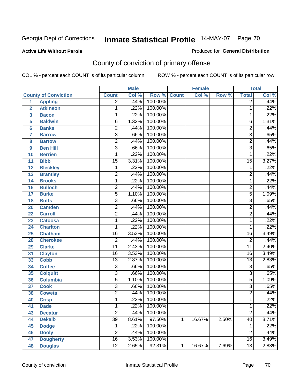Produced for **General Distribution**

### **Active Life Without Parole**

# County of conviction of primary offense

|                 |                             |                 | <b>Male</b> |                    |   | <b>Female</b> |       |                 | <b>Total</b> |
|-----------------|-----------------------------|-----------------|-------------|--------------------|---|---------------|-------|-----------------|--------------|
|                 | <b>County of Conviction</b> | <b>Count</b>    | Col %       | <b>Row % Count</b> |   | Col %         | Row % | <b>Total</b>    | Col %        |
| 1               | <b>Appling</b>              | $\overline{2}$  | .44%        | 100.00%            |   |               |       | $\overline{2}$  | .44%         |
| $\overline{2}$  | <b>Atkinson</b>             | 1               | .22%        | 100.00%            |   |               |       | 1               | .22%         |
| 3               | <b>Bacon</b>                | $\mathbf{1}$    | .22%        | 100.00%            |   |               |       | 1               | .22%         |
| 5               | <b>Baldwin</b>              | 6               | 1.32%       | 100.00%            |   |               |       | 6               | 1.31%        |
| $6\phantom{a}$  | <b>Banks</b>                | $\overline{2}$  | .44%        | 100.00%            |   |               |       | $\overline{2}$  | .44%         |
| $\overline{7}$  | <b>Barrow</b>               | 3               | .66%        | 100.00%            |   |               |       | $\overline{3}$  | .65%         |
| 8               | <b>Bartow</b>               | $\overline{2}$  | .44%        | 100.00%            |   |               |       | $\overline{2}$  | .44%         |
| 9               | <b>Ben Hill</b>             | $\overline{3}$  | .66%        | 100.00%            |   |               |       | $\overline{3}$  | .65%         |
| 10              | <b>Berrien</b>              | 1               | .22%        | 100.00%            |   |               |       | 1               | .22%         |
| 11              | <b>Bibb</b>                 | $\overline{15}$ | 3.31%       | 100.00%            |   |               |       | $\overline{15}$ | 3.27%        |
| 12              | <b>Bleckley</b>             | 1               | .22%        | 100.00%            |   |               |       | $\mathbf 1$     | .22%         |
| 13              | <b>Brantley</b>             | $\overline{2}$  | .44%        | 100.00%            |   |               |       | $\overline{2}$  | .44%         |
| $\overline{14}$ | <b>Brooks</b>               | 1               | .22%        | 100.00%            |   |               |       | $\mathbf{1}$    | .22%         |
| 16              | <b>Bulloch</b>              | $\overline{2}$  | .44%        | 100.00%            |   |               |       | $\overline{2}$  | .44%         |
| 17              | <b>Burke</b>                | $\overline{5}$  | 1.10%       | 100.00%            |   |               |       | $\overline{5}$  | 1.09%        |
| 18              | <b>Butts</b>                | 3               | .66%        | 100.00%            |   |               |       | $\overline{3}$  | .65%         |
| 20              | <b>Camden</b>               | $\overline{2}$  | .44%        | 100.00%            |   |               |       | $\overline{2}$  | .44%         |
| 22              | <b>Carroll</b>              | $\overline{2}$  | .44%        | 100.00%            |   |               |       | $\overline{2}$  | .44%         |
| 23              | <b>Catoosa</b>              | 1               | .22%        | 100.00%            |   |               |       | $\mathbf{1}$    | .22%         |
| 24              | <b>Charlton</b>             | 1               | .22%        | 100.00%            |   |               |       | 1               | .22%         |
| 25              | <b>Chatham</b>              | $\overline{16}$ | 3.53%       | 100.00%            |   |               |       | $\overline{16}$ | 3.49%        |
| 28              | <b>Cherokee</b>             | $\overline{2}$  | .44%        | 100.00%            |   |               |       | $\overline{2}$  | .44%         |
| 29              | <b>Clarke</b>               | $\overline{11}$ | 2.43%       | 100.00%            |   |               |       | $\overline{11}$ | 2.40%        |
| 31              | <b>Clayton</b>              | 16              | 3.53%       | 100.00%            |   |               |       | 16              | 3.49%        |
| 33              | <b>Cobb</b>                 | $\overline{13}$ | 2.87%       | 100.00%            |   |               |       | $\overline{13}$ | 2.83%        |
| 34              | <b>Coffee</b>               | 3               | .66%        | 100.00%            |   |               |       | 3               | .65%         |
| 35              | <b>Colquitt</b>             | $\overline{3}$  | .66%        | 100.00%            |   |               |       | $\overline{3}$  | .65%         |
| 36              | <b>Columbia</b>             | $\overline{5}$  | 1.10%       | 100.00%            |   |               |       | $\overline{5}$  | 1.09%        |
| 37              | <b>Cook</b>                 | $\overline{3}$  | .66%        | 100.00%            |   |               |       | $\overline{3}$  | .65%         |
| 38              | <b>Coweta</b>               | $\overline{2}$  | .44%        | 100.00%            |   |               |       | $\overline{2}$  | .44%         |
| 40              | <b>Crisp</b>                | 1               | .22%        | 100.00%            |   |               |       | $\mathbf{1}$    | .22%         |
| 41              | <b>Dade</b>                 | 1               | .22%        | 100.00%            |   |               |       | 1               | .22%         |
| 43              | <b>Decatur</b>              | $\overline{2}$  | .44%        | 100.00%            |   |               |       | $\overline{2}$  | .44%         |
| 44              | <b>Dekalb</b>               | $\overline{39}$ | 8.61%       | 97.50%             | 1 | 16.67%        | 2.50% | 40              | 8.71%        |
| 45              | <b>Dodge</b>                | 1               | .22%        | 100.00%            |   |               |       | 1               | .22%         |
| 46              | <b>Dooly</b>                | $\overline{2}$  | .44%        | 100.00%            |   |               |       | $\overline{2}$  | .44%         |
| 47              | <b>Dougherty</b>            | $\overline{16}$ | 3.53%       | 100.00%            |   |               |       | 16              | 3.49%        |
| 48              | <b>Douglas</b>              | 12              | 2.65%       | 92.31%             | 1 | 16.67%        | 7.69% | $\overline{13}$ | 2.83%        |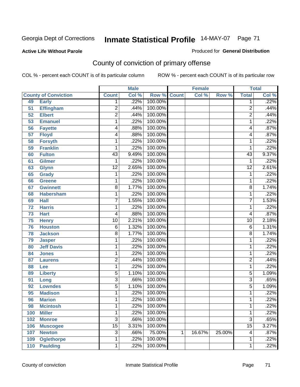#### **Active Life Without Parole**

#### Produced for **General Distribution**

# County of conviction of primary offense

|                 |                             |                 | <b>Male</b> |                    |   | <b>Female</b> |        |                 | <b>Total</b> |
|-----------------|-----------------------------|-----------------|-------------|--------------------|---|---------------|--------|-----------------|--------------|
|                 | <b>County of Conviction</b> | <b>Count</b>    | Col %       | <b>Row % Count</b> |   | Col %         | Row %  | <b>Total</b>    | Col %        |
| 49              | <b>Early</b>                | 1               | .22%        | 100.00%            |   |               |        | 1               | .22%         |
| 51              | <b>Effingham</b>            | $\overline{2}$  | .44%        | 100.00%            |   |               |        | $\overline{2}$  | .44%         |
| 52              | <b>Elbert</b>               | $\overline{2}$  | .44%        | 100.00%            |   |               |        | $\overline{2}$  | .44%         |
| 53              | <b>Emanuel</b>              | 1               | .22%        | 100.00%            |   |               |        | 1               | .22%         |
| 56              | <b>Fayette</b>              | 4               | .88%        | 100.00%            |   |               |        | 4               | .87%         |
| $\overline{57}$ | <b>Floyd</b>                | 4               | .88%        | 100.00%            |   |               |        | 4               | .87%         |
| 58              | <b>Forsyth</b>              | 1               | .22%        | 100.00%            |   |               |        | 1               | .22%         |
| 59              | <b>Franklin</b>             | 1               | .22%        | 100.00%            |   |               |        | 1               | .22%         |
| 60              | <b>Fulton</b>               | $\overline{43}$ | 9.49%       | 100.00%            |   |               |        | $\overline{43}$ | 9.37%        |
| 61              | Gilmer                      | 1               | .22%        | 100.00%            |   |               |        | 1               | .22%         |
| 63              | <b>Glynn</b>                | $\overline{12}$ | 2.65%       | 100.00%            |   |               |        | $\overline{12}$ | 2.61%        |
| 65              | <b>Grady</b>                | 1               | .22%        | 100.00%            |   |               |        | 1               | .22%         |
| 66              | <b>Greene</b>               | 1               | .22%        | 100.00%            |   |               |        | 1               | .22%         |
| 67              | <b>Gwinnett</b>             | 8               | 1.77%       | 100.00%            |   |               |        | 8               | 1.74%        |
| 68              | <b>Habersham</b>            | 1               | .22%        | 100.00%            |   |               |        | 1               | .22%         |
| 69              | <b>Hall</b>                 | $\overline{7}$  | 1.55%       | 100.00%            |   |               |        | $\overline{7}$  | 1.53%        |
| 72              | <b>Harris</b>               | 1               | .22%        | 100.00%            |   |               |        | 1               | .22%         |
| 73              | <b>Hart</b>                 | 4               | .88%        | 100.00%            |   |               |        | 4               | .87%         |
| 75              | <b>Henry</b>                | $\overline{10}$ | 2.21%       | 100.00%            |   |               |        | $\overline{10}$ | 2.18%        |
| 76              | <b>Houston</b>              | $\overline{6}$  | 1.32%       | 100.00%            |   |               |        | 6               | 1.31%        |
| 78              | <b>Jackson</b>              | 8               | 1.77%       | 100.00%            |   |               |        | $\overline{8}$  | 1.74%        |
| 79              | <b>Jasper</b>               | 1               | .22%        | 100.00%            |   |               |        | 1               | .22%         |
| 80              | <b>Jeff Davis</b>           | 1               | .22%        | 100.00%            |   |               |        | 1               | .22%         |
| 84              | <b>Jones</b>                | 1               | .22%        | 100.00%            |   |               |        | 1               | .22%         |
| 87              | <b>Laurens</b>              | 2               | .44%        | 100.00%            |   |               |        | 2               | .44%         |
| 88              | Lee                         | 1               | .22%        | 100.00%            |   |               |        | 1               | .22%         |
| 89              | <b>Liberty</b>              | 5               | 1.10%       | 100.00%            |   |               |        | 5               | 1.09%        |
| 91              | Long                        | $\overline{3}$  | .66%        | 100.00%            |   |               |        | 3               | .65%         |
| 92              | <b>Lowndes</b>              | 5               | 1.10%       | 100.00%            |   |               |        | 5               | 1.09%        |
| 95              | <b>Madison</b>              | 1               | .22%        | 100.00%            |   |               |        | 1               | .22%         |
| 96              | <b>Marion</b>               | 1               | .22%        | 100.00%            |   |               |        | 1               | .22%         |
| 98              | <b>Mcintosh</b>             | 1               | .22%        | 100.00%            |   |               |        | 1               | .22%         |
| 100             | <b>Miller</b>               | 1               | .22%        | 100.00%            |   |               |        | 1               | .22%         |
| 102             | <b>Monroe</b>               | $\overline{3}$  | .66%        | 100.00%            |   |               |        | $\overline{3}$  | .65%         |
| 106             | <b>Muscogee</b>             | $\overline{15}$ | 3.31%       | 100.00%            |   |               |        | $\overline{15}$ | 3.27%        |
| 107             | <b>Newton</b>               | $\overline{3}$  | .66%        | 75.00%             | 1 | 16.67%        | 25.00% | 4               | .87%         |
| 109             | <b>Oglethorpe</b>           | 1               | .22%        | 100.00%            |   |               |        | 1               | .22%         |
| 110             | <b>Paulding</b>             | 1               | .22%        | 100.00%            |   |               |        | 1               | .22%         |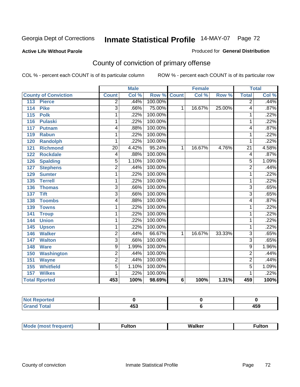#### **Active Life Without Parole**

#### Produced for **General Distribution**

# County of conviction of primary offense

|                             |                 | <b>Male</b> |         |              | <b>Female</b> |        |                 | <b>Total</b>               |
|-----------------------------|-----------------|-------------|---------|--------------|---------------|--------|-----------------|----------------------------|
| <b>County of Conviction</b> | <b>Count</b>    | Col %       | Row %   | <b>Count</b> | Col %         | Row %  | <b>Total</b>    | $\overline{\text{Col }^9}$ |
| <b>Pierce</b><br>113        | $\overline{2}$  | .44%        | 100.00% |              |               |        | $\overline{2}$  | .44%                       |
| <b>Pike</b><br>114          | 3               | .66%        | 75.00%  | 1            | 16.67%        | 25.00% | 4               | .87%                       |
| 115<br><b>Polk</b>          | 1               | .22%        | 100.00% |              |               |        | 1               | .22%                       |
| 116<br><b>Pulaski</b>       | 1               | .22%        | 100.00% |              |               |        | 1               | .22%                       |
| 117<br><b>Putnam</b>        | 4               | .88%        | 100.00% |              |               |        | 4               | .87%                       |
| <b>Rabun</b><br>119         | 1               | .22%        | 100.00% |              |               |        | 1               | .22%                       |
| <b>Randolph</b><br>120      | 1               | .22%        | 100.00% |              |               |        | 1               | .22%                       |
| <b>Richmond</b><br>121      | $\overline{20}$ | 4.42%       | 95.24%  | 1            | 16.67%        | 4.76%  | $\overline{21}$ | 4.58%                      |
| <b>Rockdale</b><br>122      | 4               | .88%        | 100.00% |              |               |        | 4               | .87%                       |
| <b>Spalding</b><br>126      | 5               | 1.10%       | 100.00% |              |               |        | $\overline{5}$  | 1.09%                      |
| 127<br><b>Stephens</b>      | $\overline{2}$  | .44%        | 100.00% |              |               |        | $\overline{2}$  | .44%                       |
| <b>Sumter</b><br>129        | 1               | .22%        | 100.00% |              |               |        | 1               | .22%                       |
| <b>Terrell</b><br>135       | 1               | .22%        | 100.00% |              |               |        | 1               | .22%                       |
| <b>Thomas</b><br>136        | $\overline{3}$  | .66%        | 100.00% |              |               |        | $\overline{3}$  | .65%                       |
| <b>Tift</b><br>137          | $\overline{3}$  | .66%        | 100.00% |              |               |        | $\overline{3}$  | .65%                       |
| <b>Toombs</b><br>138        | 4               | .88%        | 100.00% |              |               |        | 4               | .87%                       |
| <b>Towns</b><br>139         | 1               | .22%        | 100.00% |              |               |        | 1               | .22%                       |
| 141<br><b>Troup</b>         | 1               | .22%        | 100.00% |              |               |        | 1               | .22%                       |
| <b>Union</b><br>144         | 1               | .22%        | 100.00% |              |               |        | 1               | .22%                       |
| 145<br><b>Upson</b>         | 1               | .22%        | 100.00% |              |               |        | 1               | .22%                       |
| <b>Walker</b><br>146        | $\overline{2}$  | .44%        | 66.67%  | 1            | 16.67%        | 33.33% | $\overline{3}$  | .65%                       |
| <b>Walton</b><br>147        | $\overline{3}$  | .66%        | 100.00% |              |               |        | $\overline{3}$  | .65%                       |
| 148<br><b>Ware</b>          | $\overline{9}$  | 1.99%       | 100.00% |              |               |        | $\overline{9}$  | 1.96%                      |
| 150<br><b>Washington</b>    | $\overline{2}$  | .44%        | 100.00% |              |               |        | $\overline{2}$  | .44%                       |
| 151<br><b>Wayne</b>         | $\overline{2}$  | .44%        | 100.00% |              |               |        | $\overline{2}$  | .44%                       |
| <b>Whitfield</b><br>155     | $\overline{5}$  | 1.10%       | 100.00% |              |               |        | $\overline{5}$  | 1.09%                      |
| 157<br><b>Wilkes</b>        | 1               | .22%        | 100.00% |              |               |        | 1               | .22%                       |
| <b>Total Rported</b>        | 453             | 100%        | 98.69%  | 6            | 100%          | 1.31%  | 459             | 100%                       |

| $N$ nt<br>eported |              |              |
|-------------------|--------------|--------------|
| <b>Total</b>      | 1 E O<br>າບພ | 1 E N<br>᠇୰୷ |

| Mc<br>ultoı<br>Walker<br>----<br>6 S T |
|----------------------------------------|
|----------------------------------------|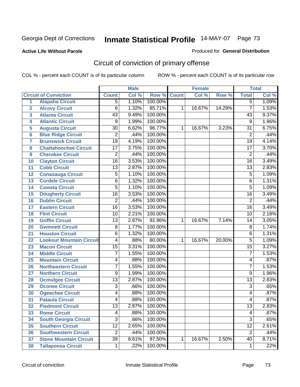#### **Active Life Without Parole**

#### Produced for **General Distribution**

# Circuit of conviction of primary offense

|                         |                                 |                 | <b>Male</b> |         |              | <b>Female</b> |        |                 | <b>Total</b> |
|-------------------------|---------------------------------|-----------------|-------------|---------|--------------|---------------|--------|-----------------|--------------|
|                         | <b>Circuit of Conviction</b>    | <b>Count</b>    | Col %       | Row %   | <b>Count</b> | Col %         | Row %  | <b>Total</b>    | Col %        |
| 1                       | <b>Alapaha Circuit</b>          | $\overline{5}$  | 1.10%       | 100.00% |              |               |        | $\overline{5}$  | 1.09%        |
| $\overline{2}$          | <b>Alcovy Circuit</b>           | $\overline{6}$  | 1.32%       | 85.71%  | 1            | 16.67%        | 14.29% | $\overline{7}$  | 1.53%        |
| $\overline{\mathbf{3}}$ | <b>Atlanta Circuit</b>          | $\overline{43}$ | 9.49%       | 100.00% |              |               |        | 43              | 9.37%        |
| 4                       | <b>Atlantic Circuit</b>         | 9               | 1.99%       | 100.00% |              |               |        | 9               | 1.96%        |
| 5                       | <b>Augusta Circuit</b>          | $\overline{30}$ | 6.62%       | 96.77%  | 1            | 16.67%        | 3.23%  | 31              | 6.75%        |
| $6\phantom{a}$          | <b>Blue Ridge Circuit</b>       | $\overline{2}$  | .44%        | 100.00% |              |               |        | $\overline{2}$  | .44%         |
| $\overline{7}$          | <b>Brunswick Circuit</b>        | $\overline{19}$ | 4.19%       | 100.00% |              |               |        | $\overline{19}$ | 4.14%        |
| 8                       | <b>Chattahoochee Circuit</b>    | $\overline{17}$ | 3.75%       | 100.00% |              |               |        | $\overline{17}$ | 3.70%        |
| 9                       | <b>Cherokee Circuit</b>         | $\overline{2}$  | .44%        | 100.00% |              |               |        | $\overline{2}$  | .44%         |
| 10                      | <b>Clayton Circuit</b>          | $\overline{16}$ | 3.53%       | 100.00% |              |               |        | $\overline{16}$ | 3.49%        |
| 11                      | <b>Cobb Circuit</b>             | 13              | 2.87%       | 100.00% |              |               |        | $\overline{13}$ | 2.83%        |
| 12                      | <b>Conasauga Circuit</b>        | $\overline{5}$  | 1.10%       | 100.00% |              |               |        | 5               | 1.09%        |
| 13                      | <b>Cordele Circuit</b>          | 6               | 1.32%       | 100.00% |              |               |        | 6               | 1.31%        |
| 14                      | <b>Coweta Circuit</b>           | $\overline{5}$  | 1.10%       | 100.00% |              |               |        | $\overline{5}$  | 1.09%        |
| 15                      | <b>Dougherty Circuit</b>        | $\overline{16}$ | 3.53%       | 100.00% |              |               |        | $\overline{16}$ | 3.49%        |
| 16                      | <b>Dublin Circuit</b>           | $\overline{2}$  | .44%        | 100.00% |              |               |        | $\overline{2}$  | .44%         |
| 17                      | <b>Eastern Circuit</b>          | $\overline{16}$ | 3.53%       | 100.00% |              |               |        | 16              | 3.49%        |
| 18                      | <b>Flint Circuit</b>            | $\overline{10}$ | 2.21%       | 100.00% |              |               |        | 10              | 2.18%        |
| 19                      | <b>Griffin Circuit</b>          | $\overline{13}$ | 2.87%       | 92.86%  | $\mathbf{1}$ | 16.67%        | 7.14%  | 14              | 3.05%        |
| 20                      | <b>Gwinnett Circuit</b>         | $\overline{8}$  | 1.77%       | 100.00% |              |               |        | 8               | 1.74%        |
| 21                      | <b>Houston Circuit</b>          | 6               | 1.32%       | 100.00% |              |               |        | $\overline{6}$  | 1.31%        |
| 22                      | <b>Lookout Mountain Circuit</b> | 4               | .88%        | 80.00%  | 1            | 16.67%        | 20.00% | 5               | 1.09%        |
| 23                      | <b>Macon Circuit</b>            | $\overline{15}$ | 3.31%       | 100.00% |              |               |        | $\overline{15}$ | 3.27%        |
| 24                      | <b>Middle Circuit</b>           | 7               | 1.55%       | 100.00% |              |               |        | $\overline{7}$  | 1.53%        |
| 25                      | <b>Mountain Circuit</b>         | 4               | .88%        | 100.00% |              |               |        | 4               | .87%         |
| 26                      | <b>Northeastern Circuit</b>     | $\overline{7}$  | 1.55%       | 100.00% |              |               |        | $\overline{7}$  | 1.53%        |
| 27                      | <b>Northern Circuit</b>         | 9               | 1.99%       | 100.00% |              |               |        | 9               | 1.96%        |
| 28                      | <b>Ocmulgee Circuit</b>         | $\overline{13}$ | 2.87%       | 100.00% |              |               |        | $\overline{13}$ | 2.83%        |
| 29                      | <b>Oconee Circuit</b>           | $\overline{3}$  | .66%        | 100.00% |              |               |        | $\overline{3}$  | .65%         |
| 30                      | <b>Ogeechee Circuit</b>         | 4               | .88%        | 100.00% |              |               |        | 4               | .87%         |
| $\overline{31}$         | <b>Pataula Circuit</b>          | 4               | .88%        | 100.00% |              |               |        | 4               | .87%         |
| 32                      | <b>Piedmont Circuit</b>         | 13              | 2.87%       | 100.00% |              |               |        | 13              | 2.83%        |
| 33                      | <b>Rome Circuit</b>             | 4               | .88%        | 100.00% |              |               |        | 4               | .87%         |
| 34                      | <b>South Georgia Circuit</b>    | $\overline{3}$  | .66%        | 100.00% |              |               |        | $\overline{3}$  | .65%         |
| 35                      | <b>Southern Circuit</b>         | $\overline{12}$ | 2.65%       | 100.00% |              |               |        | $\overline{12}$ | 2.61%        |
| 36                      | <b>Southwestern Circuit</b>     | $\overline{2}$  | .44%        | 100.00% |              |               |        | $\overline{2}$  | .44%         |
| 37                      | <b>Stone Mountain Circuit</b>   | $\overline{39}$ | 8.61%       | 97.50%  | 1            | 16.67%        | 2.50%  | 40              | 8.71%        |
| 38                      | <b>Tallapoosa Circuit</b>       | $\mathbf 1$     | .22%        | 100.00% |              |               |        | 1               | .22%         |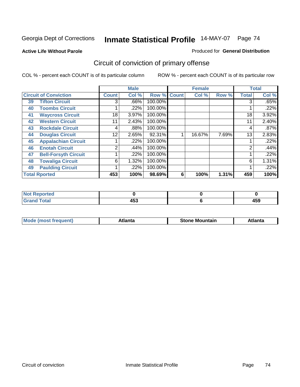**Active Life Without Parole** 

#### Produced for **General Distribution**

# Circuit of conviction of primary offense

|    |                              |              | <b>Male</b> |         |              | <b>Female</b> |       |              | <b>Total</b> |
|----|------------------------------|--------------|-------------|---------|--------------|---------------|-------|--------------|--------------|
|    | <b>Circuit of Conviction</b> | <b>Count</b> | Col %       | Row %   | <b>Count</b> | Col %         | Row % | <b>Total</b> | Col %        |
| 39 | <b>Tifton Circuit</b>        | 3            | .66%        | 100.00% |              |               |       | 3            | .65%         |
| 40 | <b>Toombs Circuit</b>        |              | .22%        | 100.00% |              |               |       |              | .22%         |
| 41 | <b>Waycross Circuit</b>      | 18           | 3.97%       | 100.00% |              |               |       | 18           | 3.92%        |
| 42 | <b>Western Circuit</b>       | 11           | 2.43%       | 100.00% |              |               |       | 11           | 2.40%        |
| 43 | <b>Rockdale Circuit</b>      | 4            | .88%        | 100.00% |              |               |       | 4            | .87%         |
| 44 | <b>Douglas Circuit</b>       | 12           | 2.65%       | 92.31%  |              | 16.67%        | 7.69% | 13           | 2.83%        |
| 45 | <b>Appalachian Circuit</b>   |              | $.22\%$     | 100.00% |              |               |       |              | .22%         |
| 46 | <b>Enotah Circuit</b>        | ◠            | .44%        | 100.00% |              |               |       | 2            | .44%         |
| 47 | <b>Bell-Forsyth Circuit</b>  |              | .22%        | 100.00% |              |               |       |              | .22%         |
| 48 | <b>Towaliga Circuit</b>      | 6            | 1.32%       | 100.00% |              |               |       | 6            | 1.31%        |
| 49 | <b>Paulding Circuit</b>      |              | .22%        | 100.00% |              |               |       |              | .22%         |
|    | <b>Total Rported</b>         | 453          | 100%        | 98.69%  | 6            | 100%          | 1.31% | 459          | 100%         |

| <b>eported</b><br>-NG |              |     |
|-----------------------|--------------|-----|
| <b>otal</b><br>$\sim$ | 1 F A<br>453 | 459 |

| īМ<br>----<br>taın<br>----<br>514<br>MOL<br>нс |
|------------------------------------------------|
|------------------------------------------------|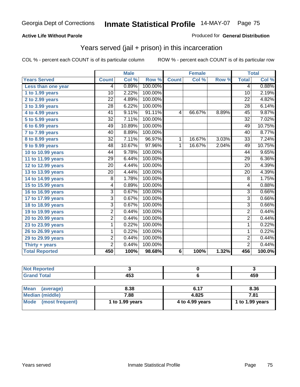#### **Active Life Without Parole**

#### Produced for **General Distribution**

## Years served (jail + prison) in this incarceration

|                       |                 | <b>Male</b> |         |              | <b>Female</b> |       |                 | <b>Total</b> |
|-----------------------|-----------------|-------------|---------|--------------|---------------|-------|-----------------|--------------|
| <b>Years Served</b>   | <b>Count</b>    | Col %       | Row %   | <b>Count</b> | Col %         | Row % | <b>Total</b>    | Col %        |
| Less than one year    | 4               | 0.89%       | 100.00% |              |               |       | 4               | 0.88%        |
| 1 to 1.99 years       | 10              | 2.22%       | 100.00% |              |               |       | 10              | 2.19%        |
| 2 to 2.99 years       | $\overline{22}$ | 4.89%       | 100.00% |              |               |       | 22              | 4.82%        |
| 3 to 3.99 years       | $\overline{28}$ | 6.22%       | 100.00% |              |               |       | $\overline{28}$ | 6.14%        |
| 4 to 4.99 years       | 41              | 9.11%       | 91.11%  | 4            | 66.67%        | 8.89% | 45              | 9.87%        |
| 5 to 5.99 years       | 32              | 7.11%       | 100.00% |              |               |       | 32              | 7.02%        |
| 6 to 6.99 years       | 49              | 10.89%      | 100.00% |              |               |       | 49              | 10.75%       |
| 7 to 7.99 years       | 40              | 8.89%       | 100.00% |              |               |       | 40              | 8.77%        |
| 8 to 8.99 years       | 32              | 7.11%       | 96.97%  | 1            | 16.67%        | 3.03% | 33              | 7.24%        |
| 9 to 9.99 years       | 48              | 10.67%      | 97.96%  | 1            | 16.67%        | 2.04% | 49              | 10.75%       |
| 10 to 10.99 years     | 44              | 9.78%       | 100.00% |              |               |       | 44              | 9.65%        |
| 11 to 11.99 years     | 29              | 6.44%       | 100.00% |              |               |       | 29              | 6.36%        |
| 12 to 12.99 years     | $\overline{20}$ | 4.44%       | 100.00% |              |               |       | $\overline{20}$ | 4.39%        |
| 13 to 13.99 years     | $\overline{20}$ | 4.44%       | 100.00% |              |               |       | $\overline{20}$ | 4.39%        |
| 14 to 14.99 years     | 8               | 1.78%       | 100.00% |              |               |       | 8               | 1.75%        |
| 15 to 15.99 years     | 4               | 0.89%       | 100.00% |              |               |       | $\overline{4}$  | 0.88%        |
| 16 to 16.99 years     | $\overline{3}$  | 0.67%       | 100.00% |              |               |       | $\overline{3}$  | 0.66%        |
| 17 to 17.99 years     | $\overline{3}$  | 0.67%       | 100.00% |              |               |       | 3               | 0.66%        |
| 18 to 18.99 years     | $\overline{3}$  | 0.67%       | 100.00% |              |               |       | $\overline{3}$  | 0.66%        |
| 19 to 19.99 years     | $\overline{2}$  | 0.44%       | 100.00% |              |               |       | $\overline{2}$  | 0.44%        |
| 20 to 20.99 years     | 2               | 0.44%       | 100.00% |              |               |       | $\overline{2}$  | 0.44%        |
| 23 to 23.99 years     | 1               | 0.22%       | 100.00% |              |               |       | 1               | 0.22%        |
| 26 to 26.99 years     | 1               | 0.22%       | 100.00% |              |               |       | 1               | 0.22%        |
| 29 to 29.99 years     | $\overline{c}$  | 0.44%       | 100.00% |              |               |       | $\overline{2}$  | 0.44%        |
| Thirty + years        | $\overline{2}$  | 0.44%       | 100.00% |              |               |       | $\overline{2}$  | 0.44%        |
| <b>Total Reported</b> | 450             | 100%        | 98.68%  | 6            | 100%          | 1.32% | 456             | 100.0%       |

| Reported<br>                     |            |     |
|----------------------------------|------------|-----|
| <b>cotal</b><br>$\mathbf{v}$ and | ""^<br>10. | 459 |

| Mean (average)       | 8.38            | 6.17            | 8.36            |
|----------------------|-----------------|-----------------|-----------------|
| Median (middle)      | 7.88            | 4.825           | 7.81            |
| Mode (most frequent) | 1 to 1.99 years | 4 to 4.99 years | 1 to 1.99 years |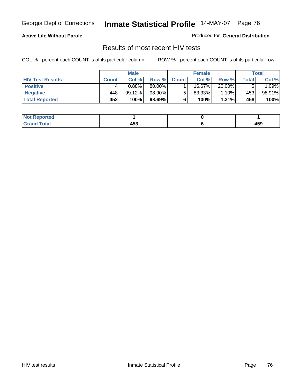#### **Active Life Without Parole**

Produced for **General Distribution**

## Results of most recent HIV tests

|                         |              | <b>Male</b> |         |              | <b>Female</b> |          |       | Total   |
|-------------------------|--------------|-------------|---------|--------------|---------------|----------|-------|---------|
| <b>HIV Test Results</b> | <b>Count</b> | Col %       | Row %   | <b>Count</b> | Col %         | Row %    | Total | Col %   |
| <b>Positive</b>         | 4            | 0.88%       | 80.00%  |              | 16.67%        | 20.00%   |       | $.09\%$ |
| <b>Negative</b>         | 448          | 99.12%      | 98.90%l |              | 83.33%        | 1.10%    | 453   | 98.91%  |
| <b>Total Reported</b>   | 452          | 100%        | 98.69%  |              | 100%          | $1.31\%$ | 458   | 100%    |

| <b>Not Reported</b> |     |     |
|---------------------|-----|-----|
| <b>Total</b>        | 453 | 459 |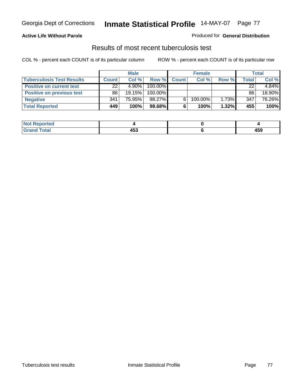### **Active Life Without Parole**

#### Produced for **General Distribution**

## Results of most recent tuberculosis test

|                                  | <b>Male</b>  |          | <b>Female</b> |              |         | Total    |              |        |
|----------------------------------|--------------|----------|---------------|--------------|---------|----------|--------------|--------|
| <b>Tuberculosis Test Results</b> | <b>Count</b> | Col%     | Row %         | <b>Count</b> | Col%    | Row %    | <b>Total</b> | Col %  |
| <b>Positive on current test</b>  | 22           | $4.90\%$ | 100.00%       |              |         |          | 22           | 4.84%  |
| <b>Positive on previous test</b> | 86           | 19.15%   | 100.00%       |              |         |          | 86           | 18.90% |
| <b>Negative</b>                  | 341          | 75.95%   | 98.27%        |              | 100.00% | $1.73\%$ | 347          | 76.26% |
| <b>Total Reported</b>            | 449          | 100%     | 98.68%        | 6            | 100%    | $1.32\%$ | 455          | 100%   |

| <b>Not Reported</b>         |     |     |
|-----------------------------|-----|-----|
| <b>Total</b><br><b>Grar</b> | 453 | 459 |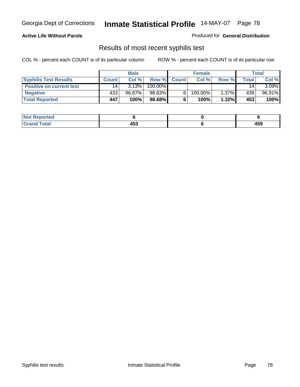### **Active Life Without Parole**

Produced for **General Distribution**

## Results of most recent syphilis test

|                                 | <b>Male</b>     |        | <b>Female</b> |              |         | Total    |       |        |
|---------------------------------|-----------------|--------|---------------|--------------|---------|----------|-------|--------|
| <b>Syphilis Test Results</b>    | Count           | Col%   | Row %         | <b>Count</b> | Col%    | Row %    | Total | Col %  |
| <b>Positive on current test</b> | 14 <sub>1</sub> | 3.13%  | 100.00%       |              |         |          | 14    | 3.09%  |
| <b>Negative</b>                 | 433             | 96.87% | 98.63%        |              | 100.00% | $1.37\%$ | 439   | 96.91% |
| <b>Total Reported</b>           | 447             | 100%   | 98.68%        |              | 100%    | 1.32%    | 453   | 100%   |

| <b>Not Reported</b> |          |              |
|---------------------|----------|--------------|
| <b>Grand Total</b>  | .<br>453 | 1 F.O<br>403 |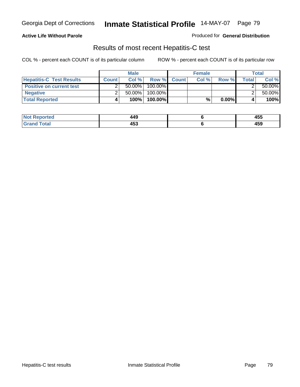### **Active Life Without Parole**

Produced for **General Distribution**

## Results of most recent Hepatitis-C test

|                                 |              | <b>Male</b> |         |             | <b>Female</b> |          |       | Total     |
|---------------------------------|--------------|-------------|---------|-------------|---------------|----------|-------|-----------|
| <b>Hepatitis-C Test Results</b> | <b>Count</b> | Col %       |         | Row % Count | Col%          | Row %    | Total | Col %     |
| <b>Positive on current test</b> |              | $50.00\%$   | 100.00% |             |               |          |       | $50.00\%$ |
| <b>Negative</b>                 |              | $50.00\%$   | 100.00% |             |               |          |       | $50.00\%$ |
| <b>Total Reported</b>           |              | 100%        | 100.00% |             | %             | $0.00\%$ |       | 100%      |

| <b>Not Reported</b>  | 449            | 455 |
|----------------------|----------------|-----|
| <b>cotal</b><br>Gret | .<br>л.<br>433 | 459 |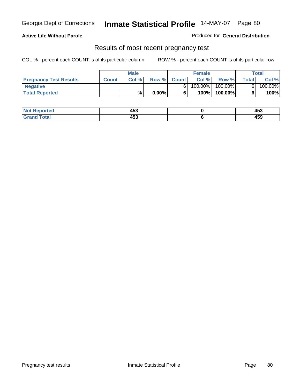### **Active Life Without Parole**

Produced for **General Distribution**

### Results of most recent pregnancy test

|                               | <b>Male</b>  |      |          | <b>Female</b> |         |         | <b>Total</b> |         |
|-------------------------------|--------------|------|----------|---------------|---------|---------|--------------|---------|
| <b>Pregnancy Test Results</b> | <b>Count</b> | Col% | Row %    | <b>Count</b>  | Col %   | Row %   | <b>Total</b> | Col %   |
| <b>Negative</b>               |              |      |          |               | 100.00% | 100.00% |              | 100.00% |
| <b>Total Reported</b>         |              | %    | $0.00\%$ |               | 100%    | 100.00% |              | 100%    |

| Reported<br>NOT       | 453 | .<br>400   |
|-----------------------|-----|------------|
| <b>c</b> otal<br>____ | 453 | 160<br>403 |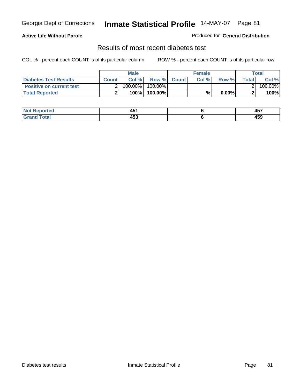### **Active Life Without Parole**

#### Produced for **General Distribution**

### Results of most recent diabetes test

|                                 |              | <b>Male</b> |            |             | <b>Female</b> |          |              | Total   |
|---------------------------------|--------------|-------------|------------|-------------|---------------|----------|--------------|---------|
| <b>Diabetes Test Results</b>    | <b>Count</b> | Col %       |            | Row % Count | Col%          | Row %    | <b>Total</b> | Col %   |
| <b>Positive on current test</b> |              | 100.00%     | $100.00\%$ |             |               |          |              | 100.00% |
| <b>Total Reported</b>           |              | 100%        | 100.00%    |             | %,            | $0.00\%$ |              | 100%    |

| <b>Reported</b>      | .<br>л.<br>− ∪ . | $\overline{a}$<br>− ∪. |
|----------------------|------------------|------------------------|
| <b>otal</b><br>_____ | 453              | 4 E O<br>403           |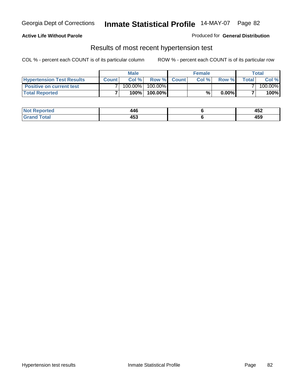#### **Active Life Without Parole**

#### Produced for **General Distribution**

### Results of most recent hypertension test

|                                  |              | <b>Male</b> |            |             | <b>Female</b> |          |        | Total   |
|----------------------------------|--------------|-------------|------------|-------------|---------------|----------|--------|---------|
| <b>Hypertension Test Results</b> | <b>Count</b> | Col %       |            | Row % Count | Col%          | Row %    | Totall | Col %   |
| <b>Positive on current test</b>  |              | 100.00%     | $100.00\%$ |             |               |          |        | 100.00% |
| <b>Total Reported</b>            |              | 100%        | 100.00%    |             | %,            | $0.00\%$ |        | 100%    |

| <b>eported</b> | AAC<br>44 U<br>__ | $1 - c$<br>₩<br>____ |
|----------------|-------------------|----------------------|
| <b>Total</b>   | 453               | A E C<br>405         |